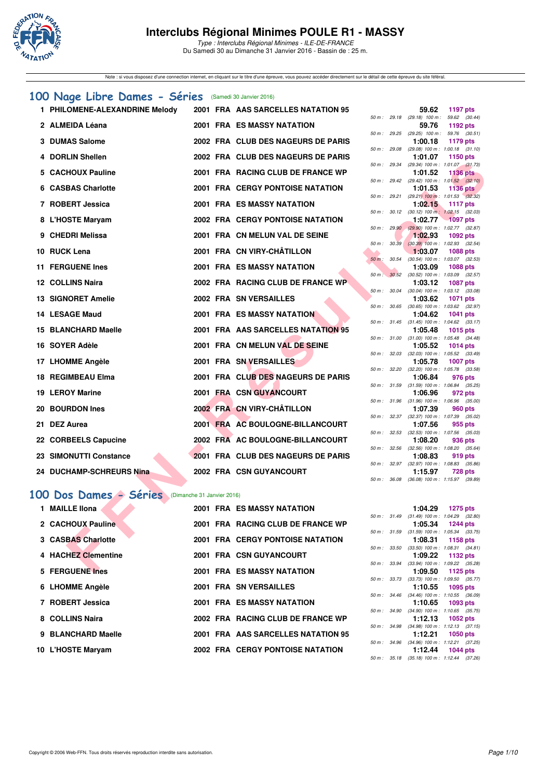

Type : Interclubs Régional Minimes - ILE-DE-FRANCE Du Samedi 30 au Dimanche 31 Janvier 2016 - Bassin de : 25 m.

Note : si vous disposez d'une connection internet, en cliquant sur le titre d'une épreuve, vous pouvez accéder directement sur le détail de cette épreuve du site féféral.

### **[100 Nage Libre Dames - Séries](http://www.ffnatation.fr/webffn/resultats.php?idact=nat&go=epr&idcpt=36761&idepr=2)** (Samedi 30 Janvier 2016)

| 1 PHILOMENE-ALEXANDRINE Melody                      |  | 2001 FRA AAS SARCELLES NATATION 95      |              |              | 59.62                                                   | <b>1197 pts</b> |  |
|-----------------------------------------------------|--|-----------------------------------------|--------------|--------------|---------------------------------------------------------|-----------------|--|
| 2 ALMEIDA Léana                                     |  | <b>2001 FRA ES MASSY NATATION</b>       |              |              | 50 m: 29.18 (29.18) 100 m: 59.62 (30.44)<br>59.76       | 1192 pts        |  |
| 3 DUMAS Salome                                      |  | 2002 FRA CLUB DES NAGEURS DE PARIS      |              |              | 50 m: 29.25 (29.25) 100 m: 59.76 (30.51)<br>1:00.18     | 1179 pts        |  |
| 4 DORLIN Shellen                                    |  | 2002 FRA CLUB DES NAGEURS DE PARIS      |              |              | 50 m: 29.08 (29.08) 100 m: 1:00.18 (31.10)<br>1:01.07   | 1150 pts        |  |
| 5 CACHOUX Pauline                                   |  | 2001 FRA RACING CLUB DE FRANCE WP       |              | 50 m : 29.34 | (29.34) 100 m: 1:01.07 (31.73)<br>1:01.52               | <b>1136 pts</b> |  |
| 6 CASBAS Charlotte                                  |  | <b>2001 FRA CERGY PONTOISE NATATION</b> |              |              | 50 m : 29.42 (29.42) 100 m : 1:01.52 (32.10)            |                 |  |
|                                                     |  |                                         |              | 50 m: 29.21  | 1:01.53<br>$(29.21)$ 100 m : 1:01.53 $(32.32)$          | <b>1136 pts</b> |  |
| 7 ROBERT Jessica                                    |  | <b>2001 FRA ES MASSY NATATION</b>       |              |              | 1:02.15                                                 | <b>1117 pts</b> |  |
| 8 L'HOSTE Maryam                                    |  | <b>2002 FRA CERGY PONTOISE NATATION</b> |              |              | 50 m: 30.12 (30.12) 100 m: 1:02.15 (32.03)<br>1:02.77   | $-1097$ pts     |  |
| 9 CHEDRI Melissa                                    |  | 2001 FRA CN MELUN VAL DE SEINE          |              |              | 50 m : 29.90 (29.90) 100 m : 1:02.77 (32.87)<br>1:02.93 | 1092 pts        |  |
|                                                     |  |                                         |              |              | 50 m : 30.39 (30.39) 100 m : 1:02.93 (32.54)            |                 |  |
| 10 RUCK Lena                                        |  | 2001 FRA CN VIRY-CHÂTILLON              | 50 m : 30.54 |              | 1:03.07<br>$(30.54)$ 100 m : 1:03.07 $(32.53)$          | <b>1088 pts</b> |  |
| <b>11 FERGUENE Ines</b>                             |  | 2001 FRA ES MASSY NATATION              |              |              | 1:03.09                                                 | <b>1088 pts</b> |  |
|                                                     |  |                                         |              |              | 50 m : 30.52 (30.52) 100 m : 1:03.09 (32.57)            |                 |  |
| 12 COLLINS Naira                                    |  | 2002 FRA RACING CLUB DE FRANCE WP       | 50 m: 30.04  |              | 1:03.12<br>$(30.04)$ 100 m : 1:03.12 $(33.08)$          | <b>1087 pts</b> |  |
| <b>13 SIGNORET Amelie</b>                           |  | 2002 FRA SN VERSAILLES                  |              |              | 1:03.62                                                 | <b>1071 pts</b> |  |
|                                                     |  |                                         | 50 m : 30.65 |              | $(30.65)$ 100 m : 1:03.62 $(32.97)$                     |                 |  |
| <b>14 LESAGE Maud</b>                               |  | <b>2001 FRA ES MASSY NATATION</b>       |              |              | 1:04.62<br>50 m: 31.45 (31.45) 100 m: 1:04.62 (33.17)   | <b>1041 pts</b> |  |
| 15 BLANCHARD Maelle                                 |  | 2001 FRA AAS SARCELLES NATATION 95      |              |              | 1:05.48                                                 | 1015 pts        |  |
|                                                     |  |                                         |              |              | 50 m: 31.00 (31.00) 100 m: 1:05.48 (34.48)              |                 |  |
| 16 SOYER Adèle                                      |  | 2001 FRA CN MELUN VAL DE SEINE          | 50 m: 32.03  |              | 1:05.52<br>(32.03) 100 m: 1:05.52 (33.49)               | <b>1014 pts</b> |  |
| 17 LHOMME Angèle                                    |  | 2001 FRA SN VERSAILLES                  |              |              | 1:05.78                                                 | <b>1007 pts</b> |  |
|                                                     |  |                                         |              |              | 50 m: 32.20 (32.20) 100 m: 1:05.78 (33.58)              |                 |  |
| <b>18 REGIMBEAU Elma</b>                            |  | 2001 FRA CLUB DES NAGEURS DE PARIS      | 50 m : 31.59 |              | 1:06.84<br>$(31.59)$ 100 m : 1:06.84 $(35.25)$          | 976 pts         |  |
| <b>19 LEROY Marine</b>                              |  | 2001 FRA CSN GUYANCOURT                 |              |              | 1:06.96                                                 | 972 pts         |  |
|                                                     |  |                                         |              |              | 50 m: 31.96 (31.96) 100 m: 1:06.96 (35.00)              |                 |  |
| 20 BOURDON Ines                                     |  | 2002 FRA CN VIRY-CHÂTILLON              | 50 m: 32.37  |              | 1:07.39<br>(32.37) 100 m: 1:07.39 (35.02)               | 960 pts         |  |
| 21 DEZ Aurea                                        |  | 2001 FRA AC BOULOGNE-BILLANCOURT        |              |              | 1:07.56                                                 | 955 pts         |  |
|                                                     |  |                                         |              |              | 50 m: 32.53 (32.53) 100 m: 1:07.56 (35.03)              |                 |  |
| 22 CORBEELS Capucine                                |  | 2002 FRA AC BOULOGNE-BILLANCOURT        | 50 m: 32.56  |              | 1:08.20<br>$(32.56)$ 100 m : 1:08.20 $(35.64)$          | 936 pts         |  |
| 23 SIMONUTTI Constance                              |  | 2001 FRA CLUB DES NAGEURS DE PARIS      |              |              | 1:08.83                                                 | 919 pts         |  |
|                                                     |  |                                         |              | 50 m : 32.97 | $(32.97)$ 100 m : 1:08.83 $(35.86)$                     |                 |  |
| 24 DUCHAMP-SCHREURS Nina                            |  | 2002 FRA CSN GUYANCOURT                 | 50 m : 36.08 |              | 1:15.97<br>(36.08) 100 m: 1:15.97 (39.89)               | <b>728 pts</b>  |  |
|                                                     |  |                                         |              |              |                                                         |                 |  |
| 00 Dos Dames - Séries<br>(Dimanche 31 Janvier 2016) |  |                                         |              |              |                                                         |                 |  |
| 1 MAILLE Ilona                                      |  | <b>2001 FRA ES MASSY NATATION</b>       |              |              | 1:04.29                                                 | <b>1275 pts</b> |  |
|                                                     |  |                                         |              |              | 50 m: 31.49 (31.49) 100 m: 1:04.29 (32.80)              |                 |  |
| 2 CACHOUX Pauline                                   |  | 2001 FRA RACING CLUB DE FRANCE WP       |              |              | 1:05.34<br>50 m: 31.59 (31.59) 100 m: 1:05.34 (33.75)   | <b>1244 pts</b> |  |
| 3 CASBAS Charlotte                                  |  | <b>2001 FRA CERGY PONTOISE NATATION</b> |              |              | 1:08.31                                                 | 1158 pts        |  |
| 4 HACHEZ Clementine                                 |  |                                         |              |              | 50 m: 33.50 (33.50) 100 m: 1:08.31 (34.81)              |                 |  |
|                                                     |  | 2001 FRA CSN GUYANCOURT                 |              |              | 1:09.22<br>50 m: 33.94 (33.94) 100 m: 1:09.22 (35.28)   | 1132 pts        |  |
| 5 FERGUENE Ines                                     |  | 2001 FRA ES MASSY NATATION              |              |              | 1:09.50                                                 | 1125 pts        |  |

# [100 Dos Dames - Séries](http://www.ffnatation.fr/webffn/resultats.php?idact=nat&go=epr&idcpt=36761&idepr=12) <sup>(Dimanche 31 Janvier 2016)</sup>

| 1 MAILLE Ilona      |  | <b>2001 FRA ES MASSY NATATION</b>       |              | 1:04.29                                     | 1275 pts |  |
|---------------------|--|-----------------------------------------|--------------|---------------------------------------------|----------|--|
|                     |  |                                         | 50 m : 31.49 | $(31.49)$ 100 m : 1:04.29 $(32.$            |          |  |
| 2 CACHOUX Pauline   |  | 2001 FRA RACING CLUB DE FRANCE WP       |              | 1:05.34 1244 pts                            |          |  |
|                     |  |                                         | 50 m : 31.59 | $(31.59)$ 100 m : 1:05.34 (33.              |          |  |
| 3 CASBAS Charlotte  |  | <b>2001 FRA CERGY PONTOISE NATATION</b> |              | 1:08.31                                     | 1158 pts |  |
| 4 HACHEZ Clementine |  | 2001 FRA CSN GUYANCOURT                 | 50 m : 33.50 | $(33.50)$ 100 m : 1:08.31 $(34.$<br>1:09.22 | 1132 pts |  |
|                     |  |                                         | 50 m : 33.94 | $(33.94)$ 100 m : 1:09.22 (35.              |          |  |
| 5 FERGUENE Ines     |  | <b>2001 FRA ES MASSY NATATION</b>       |              | 1:09.50                                     | 1125 pts |  |
|                     |  |                                         | 50 m: 33.73  | $(33.73)$ 100 m : 1:09.50 (35.              |          |  |
| 6 LHOMME Angèle     |  | <b>2001 FRA SN VERSAILLES</b>           |              | 1:10.55                                     | 1095 pts |  |
| 7 ROBERT Jessica    |  | <b>2001 FRA ES MASSY NATATION</b>       | 50 m: 34.46  | $(34.46)$ 100 m : 1:10.55 (36.<br>1:10.65   | 1093 pts |  |
|                     |  |                                         | 50 m : 34.90 | $(34.90)$ 100 m : 1:10.65 (35.              |          |  |
| 8 COLLINS Naira     |  | 2002 FRA RACING CLUB DE FRANCE WP       |              | 1:12.13                                     | 1052 pts |  |
|                     |  |                                         | 50 m : 34.98 | $(34.98)$ 100 m : 1:12.13 (37.              |          |  |
| 9 BLANCHARD Maelle  |  | 2001 FRA AAS SARCELLES NATATION 95      |              | 1:12.21                                     | 1050 pts |  |
|                     |  |                                         | 50 m : 34.96 | $(34.96)$ 100 m : 1:12.21 $(37.$            |          |  |
| 10 L'HOSTE Maryam   |  | <b>2002 FRA CERGY PONTOISE NATATION</b> |              | 1:12.44                                     | 1044 pts |  |

|          |       | 59.62                        | <b>1197 pts</b>                      |
|----------|-------|------------------------------|--------------------------------------|
| $50 m$ : | 29.18 | $(29.18)$ 100 m :            | 59.62<br>(30.44)                     |
|          |       | 59.76                        | 1192 pts                             |
| $50 m$ : | 29.25 | $(29.25)$ 100 m :            | 59.76 (30.51)                        |
|          |       | 1:00.18                      | <b>1179 pts</b>                      |
| $50 m$ : | 29.08 | $(29.08) 100 m$ :            | 1:00.18<br>(31.10)                   |
|          |       | 1:01.07                      | 1150 pts                             |
| $50 m$ : | 29.34 | (29.34) 100 m :              | 1:01.07<br>(31.73)                   |
|          |       | 1:01.52                      | <b>1136 pts</b>                      |
| $50 m$ : | 29.42 | $(29.42)$ 100 m :<br>1:01.53 | $1:01.52$ $(32.10)$                  |
| $50 m$ : | 29.21 | $(29.21)$ 100 m :            | <b>1136 pts</b><br>$1:01.53$ (32.32) |
|          |       | 1:02.15                      | <b>1117 pts</b>                      |
| $50 m$ : | 30.12 | $(30.12)$ 100 m:             | $1:02.15$ $(32.03)$                  |
|          |       | 1:02.77                      | $-1097$ pts                          |
| $50 m$ : | 29.90 | $(29.90)$ 100 m :            | 1:02.77 (32.87)                      |
|          |       | 1:02.93                      | 1092 pts                             |
| $50 m$ : | 30.39 | $(30.39)$ 100 m :            | 1:02.93<br>(32.54)                   |
|          |       | 1:03.07                      | <b>1088 pts</b>                      |
| $50 m$ : | 30.54 | $(30.54) 100 m$ :            | 1:03.07 (32.53)                      |
|          |       | 1:03.09                      | 1088 pts                             |
| $50 m$ : | 30.52 | $(30.52)$ 100 m :            | 1:03.09<br>(32.57)                   |
|          |       | 1:03.12                      | 1087 pts                             |
| $50 m$ : | 30.04 | $(30.04)$ 100 m :            | 1:03.12 (33.08)                      |
|          |       | 1:03.62                      | <b>1071 pts</b>                      |
| $50 m$ : | 30.65 | $(30.65)$ 100 m :            | 1:03.62 (32.97)                      |
|          |       | 1:04.62                      | 1041 pts                             |
| $50 m$ : | 31.45 | $(31.45) 100 m$ :            | 1:04.62<br>(33.17)                   |
|          |       | 1:05.48                      | <b>1015 pts</b>                      |
| $50 m$ : | 31.00 | $(31.00) 100 m$ :            | (34.48)<br>1:05.48                   |
|          |       | 1:05.52                      | <b>1014 pts</b>                      |
| $50 m$ : | 32.03 | $(32.03)$ 100 m :            | 1:05.52<br>(33.49)                   |
|          | 32.20 | 1:05.78                      | <b>1007 pts</b>                      |
| $50 m$ : |       | $(32.20)$ 100 m :<br>1:06.84 | 1:05.78<br>(33.58)                   |
| $50 m$ : | 31.59 | $(31.59) 100 m$ :            | 976 pts<br>1:06.84<br>(35.25)        |
|          |       | 1:06.96                      | 972 pts                              |
| $50 m$ : | 31.96 | $(31.96) 100 m$ :            | 1:06.96<br>(35.00)                   |
|          |       | 1:07.39                      | <b>960 pts</b>                       |
| $50 m$ : | 32.37 | $(32.37)$ 100 m :            | 1:07.39 (35.02)                      |
|          |       | 1:07.56                      | 955 pts                              |
| $50 m$ : | 32.53 | $(32.53)$ 100 m :            | 1:07.56<br>(35.03)                   |
|          |       | 1:08.20                      | 936 pts                              |
| $50 m$ : | 32.56 | $(32.56)$ 100 m :            | 1:08.20 (35.64)                      |
|          |       | 1:08.83                      | 919 pts                              |
| $50 m$ : | 32.97 | $(32.97)$ 100 m :            | 1:08.83<br>(35.86)                   |
|          |       | 1:15.97                      | 728 pts                              |
| 50 m :   | 36.08 | $(36.08) 100 m$ :            | 1:15.97 (39.89)                      |

|                |              | 1:04.29                                    | 1275 pts            |  |
|----------------|--------------|--------------------------------------------|---------------------|--|
|                | 50 m: 31.49  | $(31.49) 100 m$ :                          | 1:04.29 (32.80)     |  |
|                |              | 1:05.34                                    | <b>1244 pts</b>     |  |
| 50 m: 31.59    |              | $(31.59) 100 m$ :                          | 1:05.34 (33.75)     |  |
|                |              | $1:08.31$ 1158 pts                         |                     |  |
|                | 50 m : 33.50 | $(33.50)$ 100 m :                          | $1:08.31$ $(34.81)$ |  |
|                |              | 1:09.22 1132 pts                           |                     |  |
| 50 m : 33.94   |              | $(33.94)$ 100 m :                          | 1:09.22 (35.28)     |  |
|                |              | 1:09.50 1125 pts                           |                     |  |
|                |              | 50 m: 33.73 (33.73) 100 m:                 | 1:09.50 (35.77)     |  |
|                |              | $1:10.55$ 1095 pts                         |                     |  |
| 50 m: 34.46    |              | $(34.46)$ 100 m :                          | 1:10.55 (36.09)     |  |
|                |              | $1:10.65$ 1093 pts                         |                     |  |
| $50 m$ : 34.90 |              | $(34.90)$ 100 m :                          | $1:10.65$ $(35.75)$ |  |
|                |              | $1:12.13$ 1052 pts                         |                     |  |
|                |              | 50 m : 34.98 (34.98) 100 m :               | $1:12.13$ $(37.15)$ |  |
|                |              | 1:12.21 1050 pts                           |                     |  |
|                |              | 50 m: 34.96 (34.96) 100 m: 1:12.21 (37.25) |                     |  |
|                |              | $1:12.44$ 1044 pts                         |                     |  |
|                |              | 50 m: 35.18 (35.18) 100 m: 1:12.44 (37.26) |                     |  |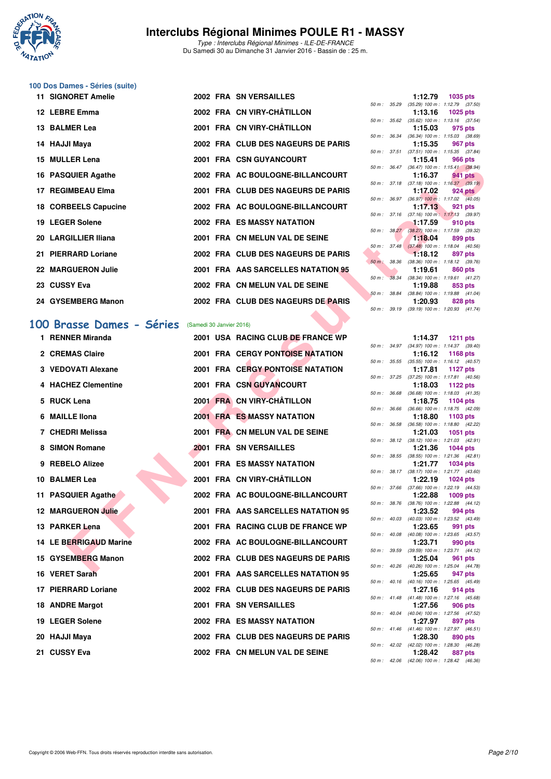

Type : Interclubs Régional Minimes - ILE-DE-FRANCE Du Samedi 30 au Dimanche 31 Janvier 2016 - Bassin de : 25 m.

### **100 Dos Dames - Séries (suite)**

| 11 SIGNORET Amelie   |  | 2002 FRA SN VERSAILLES             |  | 1:12.79 1035 pts                                                      |         |
|----------------------|--|------------------------------------|--|-----------------------------------------------------------------------|---------|
| 12 LEBRE Emma        |  | 2002 FRA CN VIRY-CHÂTILLON         |  | 50 m: 35.29 (35.29) 100 m: 1:12.79 (37.<br>$1:13.16$ 1025 pts         |         |
|                      |  |                                    |  | 50 m: 35.62 (35.62) 100 m: 1:13.16 (37.                               |         |
| 13 BALMER Lea        |  | 2001 FRA CN VIRY-CHÂTILLON         |  | 1:15.03 975 pts                                                       |         |
| 14 HAJJI Maya        |  | 2002 FRA CLUB DES NAGEURS DE PARIS |  | 50 m : 36.34 (36.34) 100 m : 1:15.03 (38.<br>1:15.35                  | 967 pts |
|                      |  |                                    |  | 50 m: 37.51 (37.51) 100 m: 1:15.35 (37.                               |         |
| 15 MULLER Lena       |  | <b>2001 FRA CSN GUYANCOURT</b>     |  | <b>1:15.41</b> 966 pts                                                |         |
| 16 PASQUIER Agathe   |  | 2002 FRA AC BOULOGNE-BILLANCOURT   |  | 50 m: 36.47 (36.47) 100 m: 1:15.41 (38.<br>1:16.37 941 pts            |         |
|                      |  |                                    |  | 50 m: 37.18 (37.18) 100 m: 1:16.37 (39.                               |         |
| 17 REGIMBEAU Elma    |  | 2001 FRA CLUB DES NAGEURS DE PARIS |  | 1:17.02 924 pts                                                       |         |
|                      |  |                                    |  | 50 m: 36.97 (36.97) 100 m: 1:17.02 (40.                               |         |
| 18 CORBEELS Capucine |  | 2002 FRA AC BOULOGNE-BILLANCOURT   |  | 1:17.13 921 pts                                                       |         |
| 19 LEGER Solene      |  | <b>2002 FRA ES MASSY NATATION</b>  |  | 50 m: 37.16 (37.16) 100 m: 1:17.13 (39.<br>$1:17.59$ 910 pts          |         |
|                      |  |                                    |  | 50 m: 38.27 (38.27) 100 m: 1:17.59 (39.                               |         |
| 20 LARGILLIER Iliana |  | 2001 FRA CN MELUN VAL DE SEINE     |  | $1:18.04$ 899 pts                                                     |         |
|                      |  |                                    |  | 50 m: 37.48 (37.48) 100 m: 1:18.04 (40.                               |         |
| 21 PIERRARD Loriane  |  | 2002 FRA CLUB DES NAGEURS DE PARIS |  | $-1:18.12$ 897 pts                                                    |         |
|                      |  |                                    |  | 50 m : 38.36 (38.36) 100 m : 1:18.12 (39.                             |         |
| 22 MARGUERON Julie   |  | 2001 FRA AAS SARCELLES NATATION 95 |  | 1:19.61 860 pts                                                       |         |
| 23 CUSSY Eva         |  | 2002 FRA CN MELUN VAL DE SEINE     |  | 50 m: 38.34 (38.34) 100 m: 1:19.61 (41.<br>1:19.88                    |         |
|                      |  |                                    |  | 50 m: 38.84 (38.84) 100 m: 1:19.88 (41.                               | 853 pts |
| 24 GYSEMBERG Manon   |  | 2002 FRA CLUB DES NAGEURS DE PARIS |  | 1:20.93 828 pts                                                       |         |
|                      |  |                                    |  | $50 \text{ m}$ : $39.19$ $(39.19)$ $100 \text{ m}$ : $1:20.93$ $(41.$ |         |

## **[100 Brasse Dames - Séries](http://www.ffnatation.fr/webffn/resultats.php?idact=nat&go=epr&idcpt=36761&idepr=22)** (Samedi 30 Janvier 2016)

| <b>IJ MULLER LUIG</b>    |                          | <b>ZUUT FRA CON GUTANCOURT</b>          |             |                  |         | ่อบบ มเจ                                                      |
|--------------------------|--------------------------|-----------------------------------------|-------------|------------------|---------|---------------------------------------------------------------|
| 16 PASQUIER Agathe       |                          | 2002 FRA AC BOULOGNE-BILLANCOURT        |             |                  | 1:16.37 | 50 m: 36.47 (36.47) 100 m: 1:15.41 (38.94)<br><b>941 pts</b>  |
| 17 REGIMBEAU Elma        |                          | 2001 FRA CLUB DES NAGEURS DE PARIS      |             |                  | 1:17.02 | 50 m: 37.18 (37.18) 100 m: 1:16.37 (39.19)<br>$924$ pts       |
| 18 CORBEELS Capucine     |                          | 2002 FRA AC BOULOGNE-BILLANCOURT        |             |                  | 1:17.13 | 50 m : 36.97 (36.97) 100 m : 1:17.02 (40.05)<br>921 pts       |
|                          |                          |                                         |             |                  |         | 50 m: 37.16 (37.16) 100 m: 1:17.13 (39.97)                    |
| 19 LEGER Solene          |                          | 2002 FRA ES MASSY NATATION              |             | 50 m: 38.27      | 1:17.59 | 910 pts<br>(38.27) 100 m : 1:17.59 (39.32)                    |
| 20 LARGILLIER Iliana     |                          | 2001 FRA CN MELUN VAL DE SEINE          |             |                  | 1:18.04 | 899 pts<br>50 m: 37.48 (37.48) 100 m: 1:18.04 (40.56)         |
| 21 PIERRARD Loriane      |                          | 2002 FRA CLUB DES NAGEURS DE PARIS      |             |                  | 1:18.12 | 897 pts                                                       |
| 22 MARGUERON Julie       |                          | 2001 FRA AAS SARCELLES NATATION 95      | 50 m: 38.36 |                  | 1:19.61 | $(38.36)$ 100 m : 1:18.12 $(39.76)$<br>860 pts                |
| 23 CUSSY Eva             |                          | 2002 FRA CN MELUN VAL DE SEINE          |             | 50 m: 38.34      | 1:19.88 | $(38.34)$ 100 m : 1:19.61 $(41.27)$<br>853 pts                |
|                          |                          |                                         |             | 50 m : 38.84     |         | $(38.84)$ 100 m : 1:19.88 $(41.04)$                           |
| 24 GYSEMBERG Manon       |                          | 2002 FRA CLUB DES NAGEURS DE PARIS      |             |                  | 1:20.93 | 828 pts<br>50 m: 39.19 (39.19) 100 m: 1:20.93 (41.74)         |
|                          |                          |                                         |             |                  |         |                                                               |
| 00 Brasse Dames - Séries | (Samedi 30 Janvier 2016) |                                         |             |                  |         |                                                               |
| 1 RENNER Miranda         |                          | 2001 USA RACING CLUB DE FRANCE WP       |             |                  | 1:14.37 | 1211 pts<br>50 m: 34.97 (34.97) 100 m: 1:14.37 (39.40)        |
| 2 CREMAS Claire          |                          | <b>2001 FRA CERGY PONTOISE NATATION</b> |             |                  | 1:16.12 | 1168 pts<br>50 m: 35.55 (35.55) 100 m: 1:16.12 (40.57)        |
| 3 VEDOVATI Alexane       |                          | <b>2001 FRA CERGY PONTOISE NATATION</b> |             |                  | 1:17.81 | 1127 $pts$                                                    |
| 4 HACHEZ Clementine      |                          | 2001 FRA CSN GUYANCOURT                 |             |                  | 1:18.03 | 50 m: 37.25 (37.25) 100 m: 1:17.81 (40.56)<br>1122 $pts$      |
| 5 RUCK Lena              |                          | 2001 FRA CN VIRY-CHATILLON              |             | $50 m$ : $36.68$ | 1:18.75 | $(36.68)$ 100 m : 1:18.03 $(41.35)$                           |
|                          |                          |                                         |             | 50 m : 36.66     |         | 1104 $pts$<br>$(36.66)$ 100 m : 1:18.75 $(42.09)$             |
| 6 MAILLE IIona           |                          | <b>2001 FRA ES MASSY NATATION</b>       |             |                  | 1:18.80 | $1103$ pts<br>50 m: 36.58 (36.58) 100 m: 1:18.80 (42.22)      |
| 7 CHEDRI Melissa         |                          | 2001 FRA CN MELUN VAL DE SEINE          |             |                  | 1:21.03 | <b>1051 pts</b>                                               |
| 8 SIMON Romane           |                          | <b>2001 FRA SN VERSAILLES</b>           |             |                  | 1:21.36 | 50 m: 38.12 (38.12) 100 m: 1:21.03 (42.91)<br>1044 pts        |
| 9 REBELO Alizee          |                          | <b>2001 FRA ES MASSY NATATION</b>       |             |                  | 1:21.77 | 50 m: 38.55 (38.55) 100 m: 1:21.36 (42.81)<br><b>1034 pts</b> |
|                          |                          |                                         |             |                  |         | 50 m: 38.17 (38.17) 100 m: 1:21.77 (43.60)                    |
| 10 BALMER Lea            |                          | 2001 FRA CN VIRY-CHÂTILLON              |             |                  | 1:22.19 | <b>1024 pts</b><br>50 m: 37.66 (37.66) 100 m: 1:22.19 (44.53) |
| 11 PASQUIER Agathe       |                          | 2002 FRA AC BOULOGNE-BILLANCOURT        |             |                  | 1:22.88 | $1009$ pts                                                    |
| 12 MARGUERON Julie       |                          | 2001 FRA AAS SARCELLES NATATION 95      |             |                  | 1:23.52 | 50 m: 38.76 (38.76) 100 m: 1:22.88 (44.12)<br>994 pts         |
| 13 PARKER Lena           |                          | 2001 FRA RACING CLUB DE FRANCE WP       |             |                  | 1:23.65 | 50 m: 40.03 (40.03) 100 m: 1:23.52 (43.49)<br>991 pts         |
|                          |                          |                                         |             |                  |         | 50 m: 40.08 (40.08) 100 m: 1:23.65 (43.57)                    |
| 14 LE BERRIGAUD Marine   |                          | 2002 FRA AC BOULOGNE-BILLANCOURT        |             |                  | 1:23.71 | 990 pts<br>50 m: 39.59 (39.59) 100 m: 1:23.71 (44.12)         |
| 15 GYSEMBERG Manon       |                          | 2002 FRA CLUB DES NAGEURS DE PARIS      |             |                  | 1:25.04 | 961 pts<br>50 m: 40.26 (40.26) 100 m: 1:25.04 (44.78)         |
| 16 VERET Sarah           |                          | 2001 FRA AAS SARCELLES NATATION 95      |             |                  | 1:25.65 | 947 pts                                                       |
| 17 PIERRARD Loriane      |                          | 2002 FRA CLUB DES NAGEURS DE PARIS      |             |                  | 1:27.16 | 50 m: 40.16 (40.16) 100 m: 1:25.65 (45.49)<br>914 pts         |
|                          |                          |                                         |             |                  |         | 50 m: 41.48 (41.48) 100 m: 1:27.16 (45.68)                    |
| 18 ANDRE Margot          |                          | 2001 FRA SN VERSAILLES                  |             |                  | 1:27.56 | 906 pts<br>50 m: 40.04 (40.04) 100 m: 1:27.56 (47.52)         |
| 19 LEGER Solene          |                          | <b>2002 FRA ES MASSY NATATION</b>       |             |                  | 1:27.97 | 897 pts<br>50 m: 41.46 (41.46) 100 m: 1:27.97 (46.51)         |
| 20   HAJJI Maya          |                          | 2002 FRA CLUB DES NAGEURS DE PARIS      |             |                  | 1:28.30 | 890 pts                                                       |
| 21  CUSSY Eva            |                          | 2002 FRA CN MELUN VAL DE SEINE          |             |                  | 1:28.42 | 50 m: 42.02 (42.02) 100 m: 1:28.30 (46.28)<br>887 pts         |
|                          |                          |                                         |             |                  |         |                                                               |

|                  |       | 1:12.79           | 1035 pts            |
|------------------|-------|-------------------|---------------------|
| $50 m$ :         | 35.29 | $(35.29)$ 100 m : | 1:12.79 (37.50)     |
|                  |       | 1:13.16           | 1025 pts            |
| $50 m$ :         | 35.62 | $(35.62)$ 100 m : | $1:13.16$ (37.54)   |
|                  |       | 1:15.03           | 975 pts             |
| $50 m$ :         | 36.34 | $(36.34) 100 m$ : | 1:15.03 (38.69)     |
|                  |       | 1:15.35           | 967 pts             |
| $50 m$ :         | 37.51 | $(37.51)$ 100 m : | $1:15.35$ $(37.84)$ |
|                  |       | 1:15.41           | <b>966 pts</b>      |
| $50 m$ : $36.47$ |       | $(36.47)$ 100 m : | $1:15.41$ (38.94)   |
|                  |       | 1:16.37           | 941 pts             |
| $50 m$ :         | 37.18 | $(37.18) 100 m$ : | 1:16.37 (39.19)     |
|                  |       | 1:17.02           | 924 pts             |
| $50 m$ :         | 36.97 | $(36.97)$ 100 m : | $1:17.02$ $(40.05)$ |
|                  |       |                   |                     |
|                  |       | 1:17.13           | 921 pts             |
| $50 m$ : 37.16   |       | $(37.16) 100 m$ : | $1:17.13$ (39.97)   |
|                  |       | 1:17.59           | $-910$ pts          |
| $50 m$ :         | 38.27 | $(38.27)$ 100 m : | 1:17.59 (39.32)     |
|                  |       | 1:18.04           | 899 pts             |
| $50 m$ :         | 37.48 | $(37.48)$ 100 m : | $1:18.04$ $(40.56)$ |
|                  |       | 1:18.12           | 897 pts             |
| $50 m$ :         | 38.36 | $(38.36)$ 100 m : | $1:18.12$ $(39.76)$ |
|                  |       | 1:19.61           | <b>860 pts</b>      |
| $50 m$ :         | 38.34 | $(38.34)$ 100 m : | $1:19.61$ $(41.27)$ |
|                  |       | 1:19.88           | 853 pts             |
| $50 m$ :         | 38.84 | $(38.84) 100 m$ : | $1:19.88$ $(41.04)$ |
|                  |       | 1:20.93           | 828 pts             |
| 50 m : 39.19     |       | $(39.19)$ 100 m : | $1:20.93$ $(41.74)$ |

|          |       | 1:14.37           | <b>1211 pts</b>    |
|----------|-------|-------------------|--------------------|
| 50 m :   | 34.97 | $(34.97) 100 m$ : | 1:14.37<br>(39.40) |
|          |       | 1:16.12           | 1168 pts           |
| $50 m$ : | 35.55 | $(35.55)$ 100 m : | 1:16.12<br>(40.57) |
|          |       | 1:17.81           | <b>1127 pts</b>    |
| $50 m$ : | 37.25 | $(37.25)$ 100 m : | $1:17.81$ (40.56)  |
|          |       | 1:18.03           | 1122 pts           |
| $50 m$ : | 36.68 | $(36.68) 100 m$ : | 1:18.03<br>(41.35) |
|          |       | 1:18.75           | 1104 pts           |
| $50 m$ : | 36.66 | $(36.66) 100 m$ : | 1:18.75<br>(42.09) |
|          |       | 1:18.80           | 1103 pts           |
| $50 m$ : | 36.58 | $(36.58) 100 m$ : | 1:18.80<br>(42.22) |
|          |       | 1:21.03           | 1051 pts           |
| $50 m$ : | 38.12 | $(38.12) 100 m$ : | 1:21.03<br>(42.91) |
|          |       | 1:21.36           | $1044$ pts         |
| $50 m$ : | 38.55 | $(38.55)$ 100 m : | 1:21.36<br>(42.81) |
|          |       | 1:21.77           | 1034 pts           |
| $50 m$ : | 38.17 | $(38.17) 100 m$ : | 1:21.77<br>(43.60) |
|          |       | 1:22.19           | 1024 pts           |
| $50 m$ : | 37.66 | $(37.66) 100 m$ : | 1:22.19<br>(44.53) |
|          |       | 1:22.88           | 1009 pts           |
| $50 m$ : | 38.76 | $(38.76) 100 m$ : | 1:22.88<br>(44.12) |
|          |       | 1:23.52           | 994 pts            |
| $50 m$ : | 40.03 | $(40.03)$ 100 m : | 1:23.52 (43.49)    |
|          |       | 1:23.65           | 991 pts            |
| $50 m$ : | 40.08 | $(40.08) 100 m$ : | 1:23.65<br>(43.57) |
|          |       | 1:23.71           | 990 pts            |
| $50 m$ : | 39.59 | $(39.59)$ 100 m : | 1:23.71<br>(44.12) |
|          |       | 1:25.04           | 961<br>pts         |
| $50 m$ : | 40.26 | $(40.26)$ 100 m : | (44.78)<br>1:25.04 |
|          |       | 1:25.65           | 947<br>pts         |
| $50 m$ : | 40.16 | $(40.16) 100 m$ : | 1:25.65<br>(45.49) |
|          |       | 1:27.16           | 914 pts            |
| $50 m$ : | 41.48 | $(41.48) 100 m$ : | 1:27.16<br>(45.68) |
|          |       | 1:27.56           | 906 pts            |
| $50 m$ : | 40.04 | $(40.04)$ 100 m : | 1:27.56<br>(47.52) |
|          |       | 1:27.97           | 897 pts            |
| $50 m$ : | 41.46 | $(41.46) 100 m$ : | (46.51)<br>1:27.97 |
|          |       | 1:28.30           | 890 pts            |
| $50 m$ : | 42.02 | $(42.02)$ 100 m : | (46.28)<br>1:28.30 |
|          |       | 1:28.42           | 887 pts            |
| $50 m$ : | 42.06 | $(42.06)$ 100 m : | (46.36)<br>1:28.42 |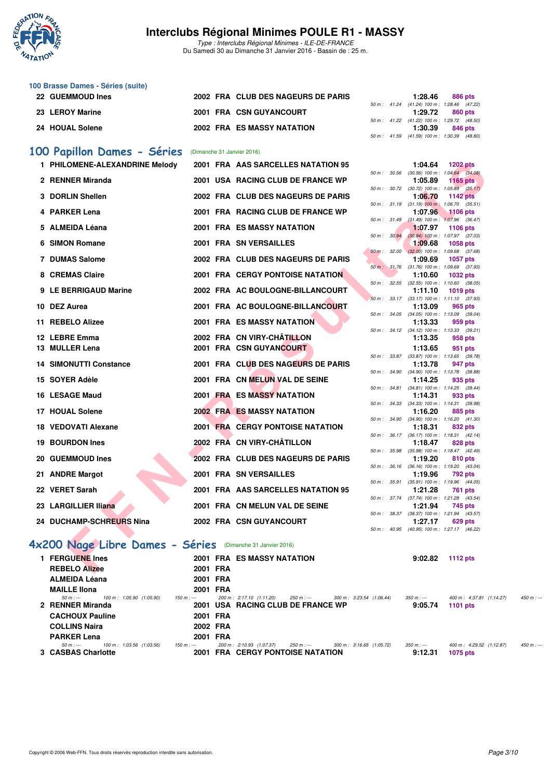

Type : Interclubs Régional Minimes - ILE-DE-FRANCE Du Samedi 30 au Dimanche 31 Janvier 2016 - Bassin de : 25 m.

| 100 Brasse Dames - Séries (suite) |                                    |  |                                            |         |  |
|-----------------------------------|------------------------------------|--|--------------------------------------------|---------|--|
| 22 GUEMMOUD Ines                  | 2002 FRA CLUB DES NAGEURS DE PARIS |  | 1:28.46                                    | 886 pts |  |
|                                   |                                    |  | 50 m: 41.24 (41.24) 100 m: 1:28.46 (47.22) |         |  |
| 23 LEROY Marine                   | 2001 FRA CSN GUYANCOURT            |  | 1:29.72                                    | 860 pts |  |
|                                   |                                    |  | 50 m: 41.22 (41.22) 100 m: 1:29.72 (48.50) |         |  |
| 24 HOUAL Solene                   | <b>2002 FRA ES MASSY NATATION</b>  |  | 1:30.39                                    | 846 pts |  |
|                                   |                                    |  | 50 m: 41.59 (41.59) 100 m: 1:30.39 (48.80) |         |  |

#### **[100 Papillon Dames - Séries](http://www.ffnatation.fr/webffn/resultats.php?idact=nat&go=epr&idcpt=36761&idepr=32)** (Dimanche 31 Janvier 2016)

| 1 PHILOMENE-ALEXANDRINE Melody                            |          | 2001 FRA AAS SARCELLES NATATION 95      |              |              | 1:04.64                                                 | <b>1202 pts</b> |  |
|-----------------------------------------------------------|----------|-----------------------------------------|--------------|--------------|---------------------------------------------------------|-----------------|--|
| 2 RENNER Miranda                                          |          | 2001 USA RACING CLUB DE FRANCE WP       |              | 50 m : 30.56 | $(30.56)$ 100 m : 1:04.64 $(34.08)$<br>1:05.89          | 1165 $pts$      |  |
|                                                           |          |                                         |              | 50 m: 30.72  | $(30.72)$ 100 m : 1:05.89 $(35.17)$                     |                 |  |
| 3 DORLIN Shellen                                          |          | 2002 FRA CLUB DES NAGEURS DE PARIS      |              |              | 1:06.70                                                 | <b>1142 pts</b> |  |
|                                                           |          |                                         |              |              | 50 m: 31.19 (31.19) 100 m: 1:06.70 (35.51)              |                 |  |
| 4 PARKER Lena                                             |          | 2001 FRA RACING CLUB DE FRANCE WP       |              |              | 1:07.96<br>50 m : 31.49 (31.49) 100 m : 1:07.96 (36.47) | <b>1106 pts</b> |  |
| 5 ALMEIDA Léana                                           |          | 2001 FRA ES MASSY NATATION              |              |              | 1:07.97                                                 | 1106 pts        |  |
|                                                           |          |                                         | 50 m : 30.94 |              | $(30.94)$ 100 m : 1:07.97 $(37.03)$                     |                 |  |
| 6 SIMON Romane                                            |          | 2001 FRA SN VERSAILLES                  |              |              | 1:09.68                                                 | 1058 pts        |  |
|                                                           |          |                                         |              |              | 50 m : 32.00 (32.00) 100 m : 1:09.68 (37.68)            |                 |  |
| 7 DUMAS Salome                                            |          | 2002 FRA CLUB DES NAGEURS DE PARIS      |              |              | 1:09.69                                                 | 1057 pts        |  |
| 8 CREMAS Claire                                           |          | <b>2001 FRA CERGY PONTOISE NATATION</b> |              | 50 m: 31.76  | $(31.76)$ 100 m : 1:09.69 $(37.93)$<br>1:10.60          | <b>1032 pts</b> |  |
|                                                           |          |                                         |              |              | 50 m: 32.55 (32.55) 100 m: 1:10.60 (38.05)              |                 |  |
| 9 LE BERRIGAUD Marine                                     |          | 2002 FRA AC BOULOGNE-BILLANCOURT        |              |              | 1:11.10                                                 | <b>1019 pts</b> |  |
|                                                           |          |                                         |              |              | 50 m: 33.17 (33.17) 100 m: 1:11.10 (37.93)              |                 |  |
| 10 DEZ Aurea                                              |          | 2001 FRA AC BOULOGNE-BILLANCOURT        |              |              | 1:13.09                                                 | 965 pts         |  |
|                                                           |          |                                         |              |              | 50 m: 34.05 (34.05) 100 m: 1:13.09 (39.04)              |                 |  |
| 11 REBELO Alizee                                          |          | <b>2001 FRA ES MASSY NATATION</b>       |              |              | 1:13.33                                                 | 959 pts         |  |
| 12 LEBRE Emma                                             |          | 2002 FRA CN VIRY-CHÂTILLON              |              |              | 50 m: 34.12 (34.12) 100 m: 1:13.33 (39.21)<br>1:13.35   | 958 pts         |  |
| 13 MULLER Lena                                            |          | <b>2001 FRA CSN GUYANCOURT</b>          |              |              |                                                         |                 |  |
|                                                           |          |                                         |              |              | 1:13.65<br>50 m: 33.87 (33.87) 100 m: 1:13.65 (39.78)   | 951 pts         |  |
| <b>14 SIMONUTTI Constance</b>                             |          | 2001 FRA CLUB DES NAGEURS DE PARIS      |              |              | 1:13.78                                                 | 947 pts         |  |
|                                                           |          |                                         |              |              | 50 m: 34.90 (34.90) 100 m: 1:13.78 (38.88)              |                 |  |
| 15 SOYER Adèle                                            |          | 2001 FRA CN MELUN VAL DE SEINE          |              |              | 1:14.25                                                 | 935 pts         |  |
|                                                           |          |                                         |              |              | 50 m: 34.81 (34.81) 100 m: 1:14.25 (39.44)              |                 |  |
| 16 LESAGE Maud                                            |          | <b>2001 FRA ES MASSY NATATION</b>       |              |              | 1:14.31                                                 | 933 pts         |  |
| 17 HOUAL Solene                                           |          | <b>2002 FRA ES MASSY NATATION</b>       |              |              | 50 m: 34.33 (34.33) 100 m: 1:14.31 (39.98)<br>1:16.20   | 885 pts         |  |
|                                                           |          |                                         |              |              | 50 m: 34.90 (34.90) 100 m: 1:16.20 (41.30)              |                 |  |
| 18 VEDOVATI Alexane                                       |          | <b>2001 FRA CERGY PONTOISE NATATION</b> |              |              | 1:18.31                                                 | 832 pts         |  |
|                                                           |          |                                         |              | 50 m: 36.17  | $(36.17)$ 100 m : 1:18.31 $(42.14)$                     |                 |  |
| 19 BOURDON Ines                                           |          | 2002 FRĂ CN VIRY-CHÂTILLON              |              |              | 1:18.47                                                 | 828 pts         |  |
| 20 GUEMMOUD Ines                                          |          | 2002 FRA CLUB DES NAGEURS DE PARIS      | 50 m : 35.98 |              | (35.98) 100 m: 1:18.47 (42.49)                          | 810 pts         |  |
|                                                           |          |                                         |              |              | 1:19.20<br>50 m: 36.16 (36.16) 100 m: 1:19.20 (43.04)   |                 |  |
| 21 ANDRE Margot                                           |          | 2001 FRA SN VERSAILLES                  |              |              | 1:19.96                                                 | 792 pts         |  |
|                                                           |          |                                         |              | 50 m : 35.91 | $(35.91)$ 100 m : 1:19.96 $(44.05)$                     |                 |  |
| 22 VERET Sarah                                            |          | 2001 FRA AAS SARCELLES NATATION 95      |              |              | 1:21.28                                                 | 761 pts         |  |
|                                                           |          |                                         |              |              | 50 m: 37.74 (37.74) 100 m: 1:21.28 (43.54)              |                 |  |
| 23 LARGILLIER Iliana                                      |          | 2001 FRA CN MELUN VAL DE SEINE          |              |              | 1:21.94                                                 | 745 pts         |  |
| 24 DUCHAMP-SCHREURS Nina                                  |          | 2002 FRA CSN GUYANCOURT                 |              |              | 50 m: 38.37 (38.37) 100 m: 1:21.94 (43.57)<br>1:27.17   | 629 pts         |  |
|                                                           |          |                                         |              |              | 50 m: 40.95 (40.95) 100 m: 1:27.17 (46.22)              |                 |  |
|                                                           |          |                                         |              |              |                                                         |                 |  |
| x200 Nage Libre Dames - Séries (Dimanche 31 Janvier 2016) |          |                                         |              |              |                                                         |                 |  |
| 1 FERGUENE Ines                                           |          | <b>2001 FRA ES MASSY NATATION</b>       |              |              | 9:02.82                                                 | <b>1112 pts</b> |  |
| <b>REBELO Alizee</b>                                      | 2001 FRA |                                         |              |              |                                                         |                 |  |
|                                                           |          |                                         |              |              |                                                         |                 |  |

### **[4x200 Nage Libre Dames - Séries](http://www.ffnatation.fr/webffn/resultats.php?idact=nat&go=epr&idcpt=36761&idepr=44)** (Dimanche 31 Janvier 2016)

| 1 FERGUENE Ines                                              |             | 2001 FRA ES MASSY NATATION                                                                                      | 9:02.82                | 1112 $pts$                                                 |
|--------------------------------------------------------------|-------------|-----------------------------------------------------------------------------------------------------------------|------------------------|------------------------------------------------------------|
| <b>REBELO Alizee</b>                                         | 2001 FRA    |                                                                                                                 |                        |                                                            |
| <b>ALMEIDA Léana</b>                                         | 2001 FRA    |                                                                                                                 |                        |                                                            |
| <b>MAILLE Ilona</b>                                          | 2001 FRA    |                                                                                                                 |                        |                                                            |
| 100 m : 1:05.90 (1:05.90)<br>50 m : ---                      | 150 m : --- | 300 m: 3:23.54 (1:06.44)<br>200 m : 2:17.10 (1:11.20)<br>250 m : ---                                            | $350 m : -$            | 400 m : 4:37.81 (1:14.27)<br>$450 m : -$                   |
| 2 RENNER Miranda                                             |             | 2001 USA RACING CLUB DE FRANCE WP                                                                               | 9:05.74                | <b>1101 pts</b>                                            |
| <b>CACHOUX Pauline</b>                                       | 2001 FRA    |                                                                                                                 |                        |                                                            |
| <b>COLLINS Naira</b>                                         | 2002 FRA    |                                                                                                                 |                        |                                                            |
| <b>PARKER Lena</b>                                           | 2001 FRA    |                                                                                                                 |                        |                                                            |
| 100 m: 1:03.56 (1:03.56)<br>$50 m : -$<br>3 CASBAS Charlotte | $150 m : -$ | 200 m : 2:10.93 (1:07.37)<br>300 m: 3:16.65 (1:05.72)<br>250 m : ---<br><b>2001 FRA CERGY PONTOISE NATATION</b> | $350 m : -$<br>9:12.31 | 400 m: 4:29.52 (1:12.87)<br>$450 m : -$<br><b>1075 pts</b> |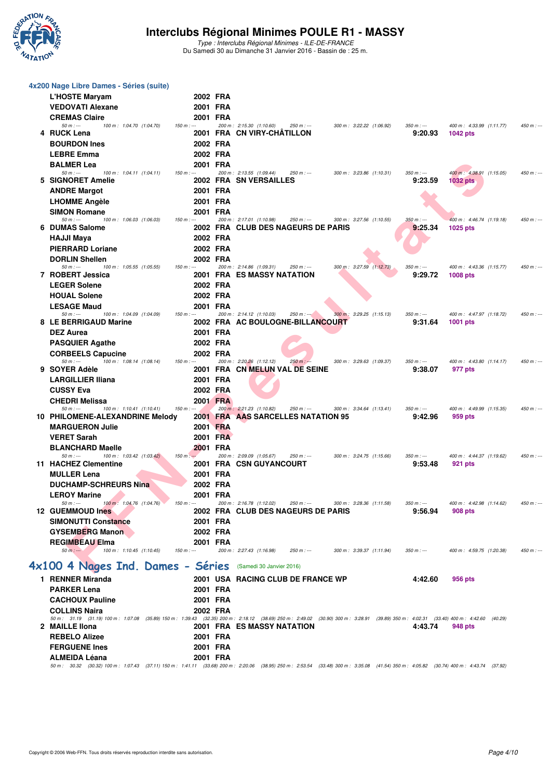

Type : Interclubs Régional Minimes - ILE-DE-FRANCE Du Samedi 30 au Dimanche 31 Janvier 2016 - Bassin de : 25 m.

| 4x200 Nage Libre Dames - Séries (suite)                           |                        |                                                                                                                                                                                                                                                  |            |
|-------------------------------------------------------------------|------------------------|--------------------------------------------------------------------------------------------------------------------------------------------------------------------------------------------------------------------------------------------------|------------|
| <b>L'HOSTE Maryam</b>                                             | 2002 FRA               |                                                                                                                                                                                                                                                  |            |
| <b>VEDOVATI Alexane</b>                                           | 2001 FRA               |                                                                                                                                                                                                                                                  |            |
| <b>CREMAS Claire</b><br>$50 m: -$<br>100 m: 1:04.70 (1:04.70)     | 2001 FRA<br>$150 m: -$ | 200 m: 2:15.30 (1:10.60)<br>250 m : ---<br>300 m: 3:22.22 (1:06.92)<br>$350 m: -$<br>400 m: 4:33.99 (1:11.77)                                                                                                                                    | $450 m: -$ |
| 4 RUCK Lena                                                       |                        | 2001 FRA CN VIRY-CHATILLON<br>9:20.93<br><b>1042 pts</b>                                                                                                                                                                                         |            |
| <b>BOURDON Ines</b>                                               | 2002 FRA               |                                                                                                                                                                                                                                                  |            |
| <b>LEBRE Emma</b>                                                 | 2002 FRA               |                                                                                                                                                                                                                                                  |            |
| <b>BALMER Lea</b>                                                 | 2001 FRA               |                                                                                                                                                                                                                                                  |            |
| $50 m: -$<br>100 m: 1:04.11 (1:04.11)<br>5 SIGNORET Amelie        | $150 m: -$             | 200 m: 2:13.55 (1:09.44)<br>400 m: 4:38.91 (1:15.05)<br>$250 m$ : ---<br>300 m: 3:23.86 (1:10.31)<br>$350 m: -$<br>2002 FRA SN VERSAILLES<br>9:23.59<br><b>1032 pts</b>                                                                          | $450 m: -$ |
| <b>ANDRE Margot</b>                                               | 2001 FRA               |                                                                                                                                                                                                                                                  |            |
| <b>LHOMME Angèle</b>                                              | 2001 FRA               |                                                                                                                                                                                                                                                  |            |
| <b>SIMON Romane</b>                                               | 2001 FRA               |                                                                                                                                                                                                                                                  |            |
| $50 m: -$<br>100 m: 1:06.03 (1:06.03)<br>6 DUMAS Salome           | $150 m: -$             | 200 m: 2:17.01 (1:10.98)<br>$350 m: -$<br>$250 m: -$<br>300 m: 3:27.56 (1:10.55)<br>400 m: 4:46.74 (1:19.18)                                                                                                                                     | $450 m: -$ |
| <b>HAJJI Maya</b>                                                 | 2002 FRA               | 2002 FRA CLUB DES NAGEURS DE PARIS<br>9:25.34<br>1025 pts                                                                                                                                                                                        |            |
| <b>PIERRARD Loriane</b>                                           | 2002 FRA               |                                                                                                                                                                                                                                                  |            |
| <b>DORLIN Shellen</b>                                             | 2002 FRA               |                                                                                                                                                                                                                                                  |            |
| $50 m: -$<br>100 m: 1:05.55 (1:05.55)                             | $150 m: -$             | 200 m: 2:14.86 (1:09.31)<br>300 m: 3:27.59 (1:12.73)<br>$250 m: -$<br>$350 m : -$<br>400 m: 4:43.36 (1:15.77)                                                                                                                                    | $450 m: -$ |
| 7 ROBERT Jessica                                                  |                        | <b>2001 FRA ES MASSY NATATION</b><br>9:29.72<br><b>1008 pts</b>                                                                                                                                                                                  |            |
| <b>LEGER Solene</b>                                               | 2002 FRA               |                                                                                                                                                                                                                                                  |            |
| <b>HOUAL Solene</b><br><b>LESAGE Maud</b>                         | 2002 FRA<br>2001 FRA   |                                                                                                                                                                                                                                                  |            |
| $50 m: -$<br>100 m: 1:04.09 (1:04.09)                             | $150 m: -$             | 300 m: 3:29.25 (1:15.13)<br>200 m: 2:14.12 (1:10.03)<br>$250 m : -$<br>$350 m : -$<br>400 m: 4:47.97 (1:18.72)                                                                                                                                   | $450 m: -$ |
| 8 LE BERRIGAUD Marine                                             |                        | 2002 FRA AC BOULOGNE-BILLANCOURT<br>9:31.64<br><b>1001 pts</b>                                                                                                                                                                                   |            |
| <b>DEZ Aurea</b>                                                  | 2001 FRA               |                                                                                                                                                                                                                                                  |            |
| <b>PASQUIER Agathe</b>                                            | 2002 FRA               |                                                                                                                                                                                                                                                  |            |
| <b>CORBEELS Capucine</b><br>$50 m: -$<br>100 m: 1:08.14 (1:08.14) | 2002 FRA<br>$150 m: -$ | 200 m: 2:20.26 (1:12.12)<br>$250 m : -$<br>300 m: 3:29.63 (1:09.37)<br>$350 m : -$<br>400 m: 4:43.80 (1:14.17)                                                                                                                                   | $450 m: -$ |
| 9 SOYER Adèle                                                     |                        | 2001 FRA CN MELUN VAL DE SEINE<br>9:38.07<br>977 pts                                                                                                                                                                                             |            |
| <b>LARGILLIER Iliana</b>                                          | 2001 FRA               |                                                                                                                                                                                                                                                  |            |
| <b>CUSSY Eva</b>                                                  | 2002 FRA               |                                                                                                                                                                                                                                                  |            |
| <b>CHEDRI Melissa</b><br>$50 m: -$<br>$100 m$ : 1:10.41 (1:10.41) | 2001 FRA<br>$150 m: -$ | 200 m: 2:21.23 (1:10.82)<br>$250 m: -$<br>300 m: 3:34.64 (1:13.41)<br>$350 m : -$<br>400 m: 4:49.99 (1:15.35)                                                                                                                                    | $450 m: -$ |
| 10 PHILOMENE-ALEXANDRINE Melody                                   |                        | 2001 FRA AAS SARCELLES NATATION 95<br>9:42.96<br>959 pts                                                                                                                                                                                         |            |
| <b>MARGUERON Julie</b>                                            | 2001 FRA               |                                                                                                                                                                                                                                                  |            |
| <b>VERET Sarah</b>                                                | 2001 FRA               |                                                                                                                                                                                                                                                  |            |
| <b>BLANCHARD Maelle</b>                                           | 2001 FRA               |                                                                                                                                                                                                                                                  |            |
| 100 m: 1:03.42 (1:03.42)<br>$50 m: -$<br>11 HACHEZ Clementine     | $150 m$ : ---          | 200 m: 2:09.09 (1:05.67)<br>250 m : ---<br>300 m: 3:24.75 (1:15.66)<br>$350 m : -$<br>400 m: 4:44.37 (1:19.62)<br><b>2001 FRA CSN GUYANCOURT</b><br>9:53.48<br>921 pts                                                                           | $450 m: -$ |
| <b>MULLER Lena</b>                                                | 2001 FRA               |                                                                                                                                                                                                                                                  |            |
| <b>DUCHAMP-SCHREURS Nina</b>                                      | 2002 FRA               |                                                                                                                                                                                                                                                  |            |
| <b>LEROY Marine</b>                                               | 2001 FRA               |                                                                                                                                                                                                                                                  |            |
| $50 m: -$<br>100 m : 1:04.76 (1:04.76)<br>12 GUEMMOUD Ines        | $150 m: -$             | 200 m: 2:16.78 (1:12.02)<br>$250 m : -$<br>300 m: 3:28.36 (1:11.58)<br>$350 m : -$<br>400 m: 4:42.98 (1:14.62)<br>2002 FRA CLUB DES NAGEURS DE PARIS<br>9:56.94<br>908 pts                                                                       | $450 m: -$ |
| <b>SIMONUTTI Constance</b>                                        | 2001 FRA               |                                                                                                                                                                                                                                                  |            |
| <b>GYSEMBERG Manon</b>                                            | 2002 FRA               |                                                                                                                                                                                                                                                  |            |
| <b>REGIMBEAU Elma</b>                                             | 2001 FRA               |                                                                                                                                                                                                                                                  |            |
| $50 m: -20 m$<br>100 m: 1:10.45 (1:10.45)                         | 150 m : ---            | 200 m: 2:27.43 (1:16.98)<br>250 m : ---<br>300 m: 3:39.37 (1:11.94)<br>$350 m : -$<br>400 m: 4:59.75 (1:20.38)                                                                                                                                   | $450 m: -$ |
| 4x100 4 Nages Ind. Dames - Séries                                 |                        | (Samedi 30 Janvier 2016)                                                                                                                                                                                                                         |            |
| 1 RENNER Miranda                                                  |                        | 2001 USA RACING CLUB DE FRANCE WP<br>4:42.60<br>956 pts                                                                                                                                                                                          |            |
| <b>PARKER Lena</b>                                                | 2001 FRA               |                                                                                                                                                                                                                                                  |            |
| <b>CACHOUX Pauline</b>                                            | 2001 FRA               |                                                                                                                                                                                                                                                  |            |
| <b>COLLINS Naira</b>                                              | 2002 FRA               |                                                                                                                                                                                                                                                  |            |
| 2 MAILLE IIona                                                    |                        | 50 m : 31.19 (31.19) 100 m : 1:07.08 (35.89) 150 m : 1:39.43 (32.35) 200 m : 2:18.12 (38.69) 250 m : 2:49.02 (30.90) 300 m : 3:28.91 (39.89) 350 m : 4:02.31 (33.40) 400 m : 4:42.60 (40.29)<br>2001 FRA ES MASSY NATATION<br>4:43.74<br>948 pts |            |
| <b>REBELO Alizee</b>                                              | 2001 FRA               |                                                                                                                                                                                                                                                  |            |
| <b>FERGUENE Ines</b>                                              | 2001 FRA               |                                                                                                                                                                                                                                                  |            |
| <b>ALMEIDA Léana</b>                                              | 2001 FRA               |                                                                                                                                                                                                                                                  |            |
|                                                                   |                        | 50 m: 30.32 (30.32) 100 m: 1:07.43 (37.11) 150 m: 1:41.11 (33.68) 200 m: 2:20.06 (38.95) 250 m: 2:53.54 (33.48) 300 m: 3:35.08 (41.54) 350 m: 4:05.82 (30.74) 400 m: 4:43.74 (37.92)                                                             |            |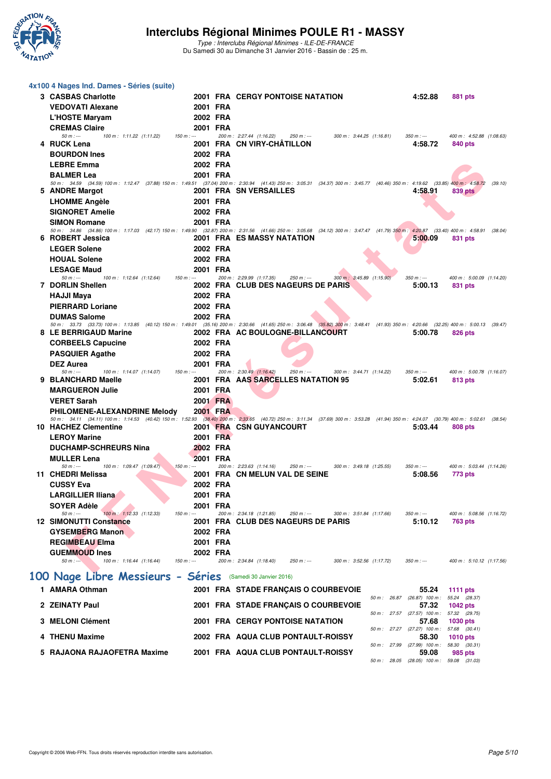

Type : Interclubs Régional Minimes - ILE-DE-FRANCE Du Samedi 30 au Dimanche 31 Janvier 2016 - Bassin de : 25 m.

| 4x100 4 Nages Ind. Dames - Séries (suite)                                                                                                                                                        |          |                                                                     |                                                   |                          |         |
|--------------------------------------------------------------------------------------------------------------------------------------------------------------------------------------------------|----------|---------------------------------------------------------------------|---------------------------------------------------|--------------------------|---------|
| 3 CASBAS Charlotte                                                                                                                                                                               |          | <b>2001 FRA CERGY PONTOISE NATATION</b>                             | 4:52.88                                           | 881 pts                  |         |
| <b>VEDOVATI Alexane</b>                                                                                                                                                                          | 2001 FRA |                                                                     |                                                   |                          |         |
| <b>L'HOSTE Maryam</b>                                                                                                                                                                            | 2002 FRA |                                                                     |                                                   |                          |         |
| <b>CREMAS Claire</b><br>$50 m: -$<br>100 m: 1:11.22 (1:11.22)<br>$150 m : -$                                                                                                                     | 2001 FRA | 200 m: 2:27.44 (1:16.22)<br>$250 m : -$<br>300 m: 3:44.25 (1:16.81) | $350 m: -$                                        | 400 m: 4:52.88 (1:08.63) |         |
| 4 RUCK Lena                                                                                                                                                                                      |          | 2001 FRA CN VIRY-CHATILLON                                          | 4:58.72                                           | 840 pts                  |         |
| <b>BOURDON Ines</b>                                                                                                                                                                              | 2002 FRA |                                                                     |                                                   |                          |         |
| <b>LEBRE Emma</b>                                                                                                                                                                                | 2002 FRA |                                                                     |                                                   |                          |         |
| <b>BALMER Lea</b>                                                                                                                                                                                | 2001 FRA |                                                                     |                                                   |                          |         |
| 50 m: 34.59 (34.59) 100 m: 1:12.47 (37.88) 150 m: 1:49.51 (37.04) 200 m: 2:30.94 (41.43) 250 m: 3:05.31 (34.37) 300 m: 3:45.77 (40.46) 350 m: 4:19.62 (33.85) 400 m; 4:58.72<br>5 ANDRE Margot   |          | <b>2001 FRA SN VERSAILLES</b>                                       | 4:58.91                                           | 839 pts                  | (39.10) |
| <b>LHOMME Angèle</b>                                                                                                                                                                             | 2001 FRA |                                                                     |                                                   |                          |         |
| <b>SIGNORET Amelie</b>                                                                                                                                                                           | 2002 FRA |                                                                     |                                                   |                          |         |
| <b>SIMON Romane</b>                                                                                                                                                                              | 2001 FRA |                                                                     |                                                   |                          |         |
| 50 m: 34.86 (34.86) 100 m: 1:17.03 (42.17) 150 m: 1:49.90 (32.87) 200 m: 2:31.56 (41.66) 250 m: 3:05.68 (34.12) 300 m: 3:47.47 (41.79) 350 m: 4:20.87 (33.40) 400 m: 4:58.91<br>6 ROBERT Jessica |          | <b>2001 FRA ES MASSY NATATION</b>                                   | 5:00.09                                           | 831 pts                  | (38.04) |
| <b>LEGER Solene</b>                                                                                                                                                                              | 2002 FRA |                                                                     |                                                   |                          |         |
| <b>HOUAL Solene</b>                                                                                                                                                                              | 2002 FRA |                                                                     |                                                   |                          |         |
| <b>LESAGE Maud</b>                                                                                                                                                                               | 2001 FRA |                                                                     |                                                   |                          |         |
| $50 m: -$<br>100 m: 1:12.64 (1:12.64)<br>$150 m: -$                                                                                                                                              |          | 200 m: 2:29.99 (1:17.35)<br>$250 m : -$<br>300 m: 3:45.89 (1:15.90) | $350 m : -$                                       | 400 m: 5:00.09 (1:14.20) |         |
| 7 DORLIN Shellen<br><b>HAJJI Maya</b>                                                                                                                                                            | 2002 FRA | 2002 FRA CLUB DES NAGEURS DE PARIS                                  | 5:00.13                                           | 831 pts                  |         |
| <b>PIERRARD Loriane</b>                                                                                                                                                                          | 2002 FRA |                                                                     |                                                   |                          |         |
| <b>DUMAS Salome</b>                                                                                                                                                                              | 2002 FRA |                                                                     |                                                   |                          |         |
| 50 m: 33.73 (33.73) 100 m: 1:13.85 (40.12) 150 m: 1:49.01 (35.16) 200 m: 2:30.66 (41.65) 250 m: 3:06.48 (35.82) 300 m: 3:48.41 (41.93) 350 m: 4:20.66 (32.25) 400 m: 5:00.13 (39.47)             |          |                                                                     |                                                   |                          |         |
| 8 LE BERRIGAUD Marine<br><b>CORBEELS Capucine</b>                                                                                                                                                | 2002 FRA | 2002 FRA AC BOULOGNE-BILLANCOURT                                    | 5:00.78                                           | 826 pts                  |         |
| <b>PASQUIER Agathe</b>                                                                                                                                                                           | 2002 FRA |                                                                     |                                                   |                          |         |
| <b>DEZ Aurea</b>                                                                                                                                                                                 | 2001 FRA |                                                                     |                                                   |                          |         |
| $50 m: -$<br>100 m: 1:14.07 (1:14.07)<br>$150 m: -$                                                                                                                                              |          | 200 m: 2:30.49 (1:16.42)<br>$250 m : -$<br>300 m: 3:44.71 (1:14.22) | $350 m : -$                                       | 400 m: 5:00.78 (1:16.07) |         |
| 9 BLANCHARD Maelle<br><b>MARGUERON Julie</b>                                                                                                                                                     | 2001 FRA | <b>2001 FRA AAS SARCELLES NATATION 95</b>                           | 5:02.61                                           | 813 pts                  |         |
| <b>VERET Sarah</b>                                                                                                                                                                               | 2001 FRA |                                                                     |                                                   |                          |         |
| PHILOMENE-ALEXANDRINE Melody                                                                                                                                                                     | 2001 FRA |                                                                     |                                                   |                          |         |
| 50 m: 34.11 (34.11) 100 m: 1:14.53 (40.42) 150 m: 1:52.93 (38.40) 200 m: 2:33.65 (40.72) 250 m: 3:11.34 (37.69) 300 m: 3:53.28 (41.94) 350 m: 4:24.07 (30.79) 400 m: 5:02.61                     |          |                                                                     |                                                   |                          | (38.54) |
| 10 HACHEZ Clementine<br><b>LEROY Marine</b>                                                                                                                                                      | 2001 FRA | <b>2001 FRA CSN GUYANCOURT</b>                                      | 5:03.44                                           | 808 pts                  |         |
| <b>DUCHAMP-SCHREURS Nina</b>                                                                                                                                                                     | 2002 FRA |                                                                     |                                                   |                          |         |
| <b>MULLER Lena</b>                                                                                                                                                                               | 2001 FRA |                                                                     |                                                   |                          |         |
| $50 m: -$<br>100 m: 1:09.47 (1:09.47)<br>$150 m: -$                                                                                                                                              |          | 200 m: 2:23.63 (1:14.16)<br>$250 m : -$<br>300 m: 3:49.18 (1:25.55) | $350 m : -$                                       | 400 m: 5:03.44 (1:14.26) |         |
| 11 CHEDRI Melissa<br><b>CUSSY Eva</b>                                                                                                                                                            | 2002 FRA | 2001 FRA CN MELUN VAL DE SEINE                                      | 5:08.56                                           | 773 pts                  |         |
| LARGILLIER IIiana                                                                                                                                                                                | 2001 FRA |                                                                     |                                                   |                          |         |
| <b>SOYER Adèle</b>                                                                                                                                                                               | 2001 FRA |                                                                     |                                                   |                          |         |
| $50 m: -$<br>100 m: 1:12.33 (1:12.33)<br>$150 m: -$                                                                                                                                              |          | 200 m: 2:34.18 (1:21.85)<br>250 m : ---<br>300 m: 3:51.84 (1:17.66) | $350 m : -$                                       | 400 m: 5:08.56 (1:16.72) |         |
| <b>12 SIMONUTTI Constance</b><br><b>GYSEMBERG Manon</b>                                                                                                                                          | 2002 FRA | 2001 FRA CLUB DES NAGEURS DE PARIS                                  | 5:10.12                                           | 763 pts                  |         |
| <b>REGIMBEAU Elma</b>                                                                                                                                                                            | 2001 FRA |                                                                     |                                                   |                          |         |
| <b>GUEMMOUD Ines</b>                                                                                                                                                                             | 2002 FRA |                                                                     |                                                   |                          |         |
| 100 m: 1:16.44 (1:16.44)<br>$150 m : -$<br>$50 m: -$                                                                                                                                             |          | 200 m: 2:34.84 (1:18.40)<br>$250 m : -$<br>300 m: 3:52.56 (1:17.72) | $350 m : -$                                       | 400 m: 5:10.12 (1:17.56) |         |
| 100 Nage Libre Messieurs - Séries                                                                                                                                                                |          | (Samedi 30 Janvier 2016)                                            |                                                   |                          |         |
| 1 AMARA Othman                                                                                                                                                                                   |          | 2001 FRA STADE FRANÇAIS O COURBEVOIE                                | 55.24                                             | 1111 pts                 |         |
|                                                                                                                                                                                                  |          |                                                                     | 50 m: 26.87 (26.87) 100 m: 55.24 (28.37)          |                          |         |
| 2 ZEINATY Paul                                                                                                                                                                                   |          | 2001 FRA STADE FRANÇAIS O COURBEVOIE                                | 57.32<br>50 m: 27.57 (27.57) 100 m: 57.32 (29.75) | <b>1042 pts</b>          |         |
| 3 MELONI Clément                                                                                                                                                                                 |          | <b>2001 FRA CERGY PONTOISE NATATION</b>                             | 57.68                                             | 1030 pts                 |         |
| 4 THENU Maxime                                                                                                                                                                                   |          | 2002 FRA AQUA CLUB PONTAULT-ROISSY                                  | 50 m: 27.27 (27.27) 100 m: 57.68 (30.41)<br>58.30 | <b>1010 pts</b>          |         |
|                                                                                                                                                                                                  |          |                                                                     | 50 m : 27.99 (27.99) 100 m : 58.30 (30.31)        |                          |         |
| 5   RAJAONA RAJAOFETRA Maxime                                                                                                                                                                    |          | 2001 FRA AQUA CLUB PONTAULT-ROISSY                                  | 59.08<br>50 m: 28.05 (28.05) 100 m: 59.08 (31.03) | 985 pts                  |         |
|                                                                                                                                                                                                  |          |                                                                     |                                                   |                          |         |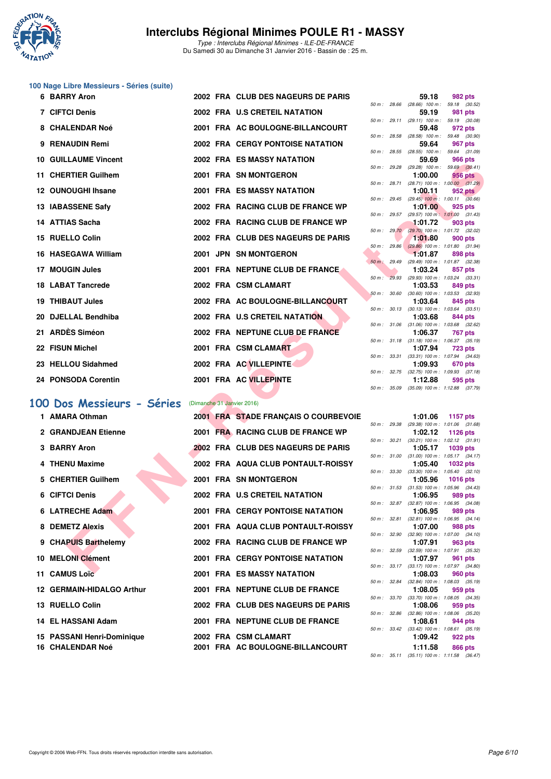

Type : Interclubs Régional Minimes - ILE-DE-FRANCE Du Samedi 30 au Dimanche 31 Janvier 2016 - Bassin de : 25 m.

# **100 Nage Libre Messieurs - Séries (suite)**

| <b>6 BARRY Aron</b>                                                                                                                                                                                                                                                                                                                |  | 2002 FRA CLUB DES NAGEURS DE PARIS      |              |              | 59.18                                                   | 982 pts         |  |
|------------------------------------------------------------------------------------------------------------------------------------------------------------------------------------------------------------------------------------------------------------------------------------------------------------------------------------|--|-----------------------------------------|--------------|--------------|---------------------------------------------------------|-----------------|--|
| 7 CIFTCI Denis                                                                                                                                                                                                                                                                                                                     |  | 2002 FRA U.S CRETEIL NATATION           |              |              | 50 m: 28.66 (28.66) 100 m: 59.18 (30.52)<br>59.19       | 981 pts         |  |
| 8 CHALENDAR Noé                                                                                                                                                                                                                                                                                                                    |  | 2001 FRA AC BOULOGNE-BILLANCOURT        |              |              | 50 m: 29.11 (29.11) 100 m: 59.19 (30.08)<br>59.48       | 972 pts         |  |
|                                                                                                                                                                                                                                                                                                                                    |  |                                         |              |              | 50 m : 28.58 (28.58) 100 m : 59.48 (30.90)              |                 |  |
| 9 RENAUDIN Remi                                                                                                                                                                                                                                                                                                                    |  | 2002 FRA CERGY PONTOISE NATATION        |              |              | 59.64<br>50 m: 28.55 (28.55) 100 m: 59.64 (31.09)       | 967 pts         |  |
| <b>10 GUILLAUME Vincent</b>                                                                                                                                                                                                                                                                                                        |  | <b>2002 FRA ES MASSY NATATION</b>       |              |              | 59.69                                                   | 966 pts         |  |
| 11 CHERTIER Guilhem                                                                                                                                                                                                                                                                                                                |  | 2001 FRA SN MONTGERON                   |              |              | 50 m: 29.28 (29.28) 100 m: 59.69 (30.41)<br>1:00.00     | <b>956 pts</b>  |  |
|                                                                                                                                                                                                                                                                                                                                    |  |                                         |              |              | 50 m : 28.71 (28.71) 100 m : 1:00.00 (31.29)            |                 |  |
| 12 OUNOUGHI Ihsane                                                                                                                                                                                                                                                                                                                 |  | <b>2001 FRA ES MASSY NATATION</b>       |              | 50 m : 29.45 | 1:00.11<br>$(29.45)$ 100 m : 1:00.11 $(30.66)$          | 952 pts         |  |
| 13 IABASSENE Safy                                                                                                                                                                                                                                                                                                                  |  | 2002 FRA RACING CLUB DE FRANCE WP       |              |              | 1:01.00                                                 | 925 pts         |  |
| 14 ATTIAS Sacha                                                                                                                                                                                                                                                                                                                    |  | 2002 FRA RACING CLUB DE FRANCE WP       |              |              | 50 m : 29.57 (29.57) 100 m : 1:01.00 (31.43)<br>1:01.72 | 903 pts         |  |
|                                                                                                                                                                                                                                                                                                                                    |  |                                         |              | 50 m: 29.70  | $(29.70)$ 100 m : 1:01.72 $(32.02)$                     |                 |  |
| 15 RUELLO Colin                                                                                                                                                                                                                                                                                                                    |  | 2002 FRA CLUB DES NAGEURS DE PARIS      |              | 50 m: 29.86  | 1:01.80<br>$(29.86)$ 100 m : 1:01.80 $(31.94)$          | <b>900 pts</b>  |  |
| 16 HASEGAWA William                                                                                                                                                                                                                                                                                                                |  | 2001 JPN SN MONTGERON                   |              |              | 1:01.87                                                 | 898 pts         |  |
| 17 MOUGIN Jules                                                                                                                                                                                                                                                                                                                    |  | 2001 FRA NEPTUNE CLUB DE FRANCE.        | 50 m : 29.49 |              | (29.49) 100 m: 1:01.87 (32.38)<br>1:03.24               | 857 pts         |  |
|                                                                                                                                                                                                                                                                                                                                    |  |                                         |              |              | 50 m: 29.93 (29.93) 100 m: 1:03.24 (33.31)              |                 |  |
| <b>18 LABAT Tancrede</b>                                                                                                                                                                                                                                                                                                           |  | 2002 FRA CSM CLAMART                    |              |              | 1:03.53<br>50 m: 30.60 (30.60) 100 m: 1:03.53 (32.93)   | 849 pts         |  |
| <b>19 THIBAUT Jules</b>                                                                                                                                                                                                                                                                                                            |  | 2002 FRA AC BOULOGNE-BILLANCOURT        |              |              | 1:03.64                                                 | 845 pts         |  |
| 20 DJELLAL Bendhiba                                                                                                                                                                                                                                                                                                                |  | 2002 FRA U.S CRETEIL NATATION           | 50 m: 30.13  |              | $(30.13)$ 100 m : 1:03.64 $(33.51)$<br>1:03.68          | 844 pts         |  |
|                                                                                                                                                                                                                                                                                                                                    |  |                                         |              |              | 50 m: 31.06 (31.06) 100 m: 1:03.68 (32.62)              |                 |  |
| 21 ARDÈS Siméon                                                                                                                                                                                                                                                                                                                    |  | 2002 FRA NEPTUNE CLUB DE FRANCE         |              |              | 1:06.37<br>50 m: 31.18 (31.18) 100 m: 1:06.37 (35.19)   | 767 pts         |  |
| 22 FISUN Michel                                                                                                                                                                                                                                                                                                                    |  | 2001 FRA CSM CLAMART                    |              |              | 1:07.94                                                 | <b>723 pts</b>  |  |
| 23 HELLOU Sidahmed                                                                                                                                                                                                                                                                                                                 |  | 2002 FRA AC VILLEPINTE                  |              |              | 50 m: 33.31 (33.31) 100 m: 1:07.94 (34.63)<br>1:09.93   | <b>670 pts</b>  |  |
|                                                                                                                                                                                                                                                                                                                                    |  |                                         |              |              | 50 m : 32.75 (32.75) 100 m : 1:09.93 (37.18)            |                 |  |
| 24 PONSODA Corentin                                                                                                                                                                                                                                                                                                                |  | 2001 FRA AC VILLEPINTE                  | 50 m : 35.09 |              | 1:12.88<br>$(35.09)$ 100 m : 1:12.88 $(37.79)$          | 595 pts         |  |
|                                                                                                                                                                                                                                                                                                                                    |  |                                         |              |              |                                                         |                 |  |
| 00 Dos Messieurs - Séries                                                                                                                                                                                                                                                                                                          |  | (Dimanche 31 Janvier 2016)              |              |              |                                                         |                 |  |
| 1 AMARA Othman                                                                                                                                                                                                                                                                                                                     |  | 2001 FRA STADE FRANÇAIS O COURBEVOIE    |              |              | 1:01.06<br>50 m: 29.38 (29.38) 100 m: 1:01.06 (31.68)   | 1157 pts        |  |
| 2 GRANDJEAN Etienne                                                                                                                                                                                                                                                                                                                |  | 2001 FRA RACING CLUB DE FRANCE WP       |              |              | 1:02.12                                                 | 1126 pts        |  |
| 3 BARRY Aron                                                                                                                                                                                                                                                                                                                       |  | 2002 FRA CLUB DES NAGEURS DE PARIS      |              |              | 50 m: 30.21 (30.21) 100 m: 1:02.12 (31.91)<br>1:05.17   | 1039 pts        |  |
|                                                                                                                                                                                                                                                                                                                                    |  |                                         |              |              | 50 m: 31.00 (31.00) 100 m: 1:05.17 (34.17)              |                 |  |
| 4 THENU Maxime                                                                                                                                                                                                                                                                                                                     |  | 2002 FRA AQUA CLUB PONTAULT-ROISSY      |              |              | 1:05.40<br>50 m: 33.30 (33.30) 100 m: 1:05.40 (32.10)   | <b>1032 pts</b> |  |
| 5 CHERTIER Guilhem                                                                                                                                                                                                                                                                                                                 |  | 2001 FRA SN MONTGERON                   |              |              | 1:05.96                                                 | <b>1016 pts</b> |  |
| 6 CIFTCI Denis                                                                                                                                                                                                                                                                                                                     |  | 2002 FRA U.S CRETEIL NATATION           |              |              | 50 m: 31.53 (31.53) 100 m: 1:05.96 (34.43)<br>1:06.95   | 989 pts         |  |
|                                                                                                                                                                                                                                                                                                                                    |  |                                         | 50 m: 32.87  |              | $(32.87)$ 100 m : 1:06.95 $(34.08)$                     |                 |  |
| 6 LATRECHE Adam                                                                                                                                                                                                                                                                                                                    |  | <b>2001 FRA CERGY PONTOISE NATATION</b> |              | 50 m: 32.81  | 1:06.95<br>$(32.81)$ 100 m : 1:06.95 $(34.14)$          | 989 pts         |  |
| 8 DEMETZ Alexis                                                                                                                                                                                                                                                                                                                    |  | 2001 FRA AQUA CLUB PONTAULT-ROISSY      |              |              | 1:07.00                                                 | <b>988 pts</b>  |  |
| 9 CHAPUIS Barthelemy                                                                                                                                                                                                                                                                                                               |  | 2002 FRA RACING CLUB DE FRANCE WP       |              | 50 m : 32.90 | $(32.90)$ 100 m : 1:07.00 $(34.10)$<br>1:07.91          | 963 pts         |  |
|                                                                                                                                                                                                                                                                                                                                    |  |                                         |              |              | 50 m: 32.59 (32.59) 100 m: 1:07.91 (35.32)              |                 |  |
| 10 MELONI Clément                                                                                                                                                                                                                                                                                                                  |  | <b>2001 FRA CERGY PONTOISE NATATION</b> |              |              | 1:07.97<br>50 m: 33.17 (33.17) 100 m: 1:07.97 (34.80)   | 961 pts         |  |
| $\mathbf{A}$ $\mathbf{A}$ $\mathbf{A}$ $\mathbf{A}$ $\mathbf{B}$ $\mathbf{A}$ $\mathbf{B}$ $\mathbf{A}$ $\mathbf{B}$ $\mathbf{A}$ $\mathbf{B}$ $\mathbf{A}$ $\mathbf{B}$ $\mathbf{A}$ $\mathbf{B}$ $\mathbf{A}$ $\mathbf{B}$ $\mathbf{A}$ $\mathbf{B}$ $\mathbf{B}$ $\mathbf{B}$ $\mathbf{A}$ $\mathbf{B}$ $\mathbf{B}$ $\mathbf{$ |  | 0004 FBA FO MACOV MATATION              |              |              | 1.00.00                                                 | non.            |  |

## **[100 Dos Messieurs - Séries](http://www.ffnatation.fr/webffn/resultats.php?idact=nat&go=epr&idcpt=36761&idepr=62)** (Dimanche 31 Janvier 2016)

| 1 AMARA Othman             |  | 2001 FRA STADE FRANÇAIS O COURBEVOIE |  | 1:01.06                                                   | 1157 pts |         |
|----------------------------|--|--------------------------------------|--|-----------------------------------------------------------|----------|---------|
| 2 GRANDJEAN Etienne        |  | 2001 FRA RACING CLUB DE FRANCE WP    |  | 50 m: 29.38 (29.38) 100 m: 1:01.06 (31.<br>1:02.12        | 1126 pts |         |
|                            |  |                                      |  | 50 m: 30.21 (30.21) 100 m: 1:02.12 (31.                   |          |         |
| 3 BARRY Aron               |  | 2002 FRA CLUB DES NAGEURS DE PARIS   |  | 1:05.17 1039 pts                                          |          |         |
|                            |  |                                      |  | 50 m: 31.00 (31.00) 100 m: 1:05.17 (34.                   |          |         |
| 4 THENU Maxime             |  | 2002 FRA AQUA CLUB PONTAULT-ROISSY   |  | 1:05.40 1032 pts                                          |          |         |
|                            |  |                                      |  | 50 m: 33.30 (33.30) 100 m: 1:05.40 (32.                   |          |         |
| 5 CHERTIER Guilhem         |  | 2001 FRA SN MONTGERON                |  | 1:05.96 1016 pts                                          |          |         |
| 6 CIFTCI Denis             |  | 2002 FRA U.S CRETEIL NATATION        |  | 50 m: 31.53 (31.53) 100 m: 1:05.96 (34.<br>1:06.95        | 989 pts  |         |
|                            |  |                                      |  | 50 m: 32.87 (32.87) 100 m: 1:06.95 (34.                   |          |         |
| 6 LATRECHE Adam            |  | 2001 FRA CERGY PONTOISE NATATION     |  | 1:06.95                                                   |          | 989 pts |
|                            |  |                                      |  | 50 m: 32.81 (32.81) 100 m: 1:06.95 (34.                   |          |         |
| 8 DEMETZ Alexis            |  | 2001 FRA AQUA CLUB PONTAULT-ROISSY   |  | 1:07.00                                                   |          | 988 pts |
|                            |  |                                      |  | 50 m: 32.90 (32.90) 100 m: 1:07.00 (34.                   |          |         |
| 9 CHAPUIS Barthelemy       |  | 2002 FRA RACING CLUB DE FRANCE WP    |  | 1:07.91<br>50 m: 32.59 (32.59) 100 m: 1:07.91 (35.        |          | 963 pts |
| 10 MELONI Clément          |  | 2001 FRA CERGY PONTOISE NATATION     |  | 1:07.97                                                   |          | 961 pts |
|                            |  |                                      |  | 50 m: 33.17 (33.17) 100 m: 1:07.97 (34.                   |          |         |
| 11 CAMUS Loïc              |  | 2001 FRA ES MASSY NATATION           |  | 1:08.03                                                   |          | 960 pts |
|                            |  |                                      |  | 50 m: 32.84 (32.84) 100 m: 1:08.03 (35.                   |          |         |
| 12 GERMAIN-HIDALGO Arthur  |  | 2001 FRA NEPTUNE CLUB DE FRANCE      |  | 1:08.05                                                   |          | 959 pts |
|                            |  |                                      |  | 50 m: 33.70 (33.70) 100 m: 1:08.05 (34.                   |          |         |
| 13 RUELLO Colin            |  | 2002 FRA CLUB DES NAGEURS DE PARIS   |  | 1:08.06<br>50 m: 32.86 (32.86) 100 m: 1:08.06 (35.        |          | 959 pts |
| 14 EL HASSANI Adam         |  | 2001 FRA NEPTUNE CLUB DE FRANCE      |  | 1:08.61                                                   |          | 944 pts |
|                            |  |                                      |  | 50 m: 33.42 (33.42) 100 m: 1:08.61 (35.                   |          |         |
| 15 PASSANI Henri-Dominique |  | 2002 FRA CSM CLAMART                 |  | 1:09.42                                                   |          | 922 pts |
| 16 CHALENDAR Noé           |  | 2001 FRA AC BOULOGNE-BILLANCOURT     |  | 1:11.58                                                   |          | 866 pts |
|                            |  |                                      |  | $E0 \text{ m}$ $E11 / 0E11 / 100 \text{ m}$ $111 E0 / 00$ |          |         |

|             |       | 59.18             | 982 pts            |
|-------------|-------|-------------------|--------------------|
| 50 m: 28.66 |       | $(28.66)$ 100 m : | 59.18 (30.52)      |
|             |       | 59.19             | 981 pts            |
| 50 m:       | 29.11 | $(29.11)$ 100 m : | 59.19 (30.08)      |
|             |       | 59.48             | 972 pts            |
| $50 m$ :    | 28.58 | $(28.58)$ 100 m : | 59.48<br>(30.90)   |
|             |       | 59.64             | <b>967 pts</b>     |
| $50 m$ :    | 28.55 | $(28.55)$ 100 m : | 59.64<br>(31.09)   |
|             |       | 59.69             | <b>966 pts</b>     |
| $50 m$ :    | 29.28 | $(29.28)$ 100 m : | 59.69 (30.41)      |
|             |       | 1:00.00           | <b>956 pts</b>     |
| $50 m$ :    | 28.71 | $(28.71)$ 100 m : | 1:00.00<br>(31.29) |
|             |       | 1:00.11           | <b>952 pts</b>     |
| $50 m$ :    | 29.45 | $(29.45)$ 100 m : | 1:00.11<br>(30.66) |
|             |       | 1:01.00           | 925 pts            |
| $50 m$ :    | 29.57 | $(29.57)$ 100 m : | 1:01.00<br>(31.43) |
|             |       | 1:01.72           | <b>903 pts</b>     |
| $50 m$ :    | 29.70 | $(29.70)$ 100 m : | 1:01.72<br>(32.02) |
|             |       | 1:01.80           | <b>900 pts</b>     |
| $50 m$ :    | 29.86 | $(29.86)$ 100 m : | (31.94)<br>1:01.80 |
|             |       | 1:01.87           | 898 pts            |
| $50 m$ :    | 29.49 | $(29.49)$ 100 m : | (32.38)<br>1:01.87 |
|             |       | 1:03.24           | 857 pts            |
| $50 m$ :    | 29.93 | $(29.93)$ 100 m : | 1:03.24<br>(33.31) |
|             |       | 1:03.53           | 849 pts            |
| $50 m$ :    | 30.60 | $(30.60)$ 100 m : | 1:03.53 (32.93)    |
|             |       | 1:03.64           | 845 pts            |
| $50 m$ :    | 30.13 | $(30.13) 100 m$ : | 1:03.64<br>(33.51) |
|             |       | 1:03.68           | 844 pts            |
| $50 m$ :    | 31.06 | $(31.06) 100 m$ : | 1:03.68<br>(32.62) |
|             |       | 1:06.37           | 767 pts            |
| $50 m$ :    | 31.18 | $(31.18) 100 m$ : | 1:06.37<br>(35.19) |
|             |       | 1:07.94           | <b>723 pts</b>     |
| $50 m$ :    | 33.31 | $(33.31)$ 100 m : | 1:07.94<br>(34.63) |
|             |       | 1:09.93           | <b>670 pts</b>     |
| $50 m$ :    | 32.75 | $(32.75)$ 100 m : | 1:09.93<br>(37.18) |
|             |       | 1:12.88           | 595 pts            |
| 50 m:       | 35.09 | $(35.09)$ 100 m : | 1:12.88<br>(37.79) |
|             |       |                   |                    |

|              |       | 1:01.06           | 1157 $p$ ts         |         |
|--------------|-------|-------------------|---------------------|---------|
| 50 m: 29.38  |       | $(29.38) 100 m$ : | 1:01.06 (31.68)     |         |
|              |       | 1:02.12           | 1126 pts            |         |
| 50 m :       | 30.21 | $(30.21)$ 100 m : | $1:02.12$ $(31.91)$ |         |
|              |       | 1:05.17           | 1039 pts            |         |
| $50 m$ :     | 31.00 | $(31.00) 100 m$ : | $1:05.17$ $(34.17)$ |         |
|              |       | 1:05.40           | <b>1032 pts</b>     |         |
| $50 m$ :     | 33.30 | $(33.30)$ 100 m : | $1:05.40$ $(32.10)$ |         |
|              |       | 1:05.96           | 1016 pts            |         |
| $50 m$ :     | 31.53 | $(31.53) 100 m$ : | $1:05.96$ $(34.43)$ |         |
|              |       | 1:06.95           | 989 pts             |         |
| $50 m$ :     | 32.87 | $(32.87)$ 100 m : | 1:06.95 (34.08)     |         |
|              |       | 1:06.95           | 989 pts             |         |
| 50 m: 32.81  |       | $(32.81)$ 100 m : | $1:06.95$ $(34.14)$ |         |
|              |       | 1:07.00           | 988 pts             |         |
| $50 m$ :     | 32.90 | $(32.90)$ 100 m : | $1:07.00$ $(34.10)$ |         |
|              |       | 1:07.91           |                     | 963 pts |
| $50 m$ :     | 32.59 | $(32.59)$ 100 m : | 1:07.91 (35.32)     |         |
|              |       | 1:07.97           | 961 pts             |         |
| $50 m$ :     | 33.17 | $(33.17) 100 m$ : | 1:07.97 (34.80)     |         |
|              |       | 1:08.03           | 960 pts             |         |
| $50 m$ :     | 32.84 | $(32.84) 100 m$ : | 1:08.03 (35.19)     |         |
|              |       | 1:08.05           | 959 pts             |         |
| 50 m:        | 33.70 | $(33.70)$ 100 m : | 1:08.05 (34.35)     |         |
|              |       | 1:08.06           | 959 pts             |         |
| 50 m : 32.86 |       | $(32.86) 100 m$ : | 1:08.06 (35.20)     |         |
|              |       | 1:08.61           | 944 pts             |         |
| $50 m$ :     | 33.42 | $(33.42) 100 m$ : | $1:08.61$ $(35.19)$ |         |
|              |       | 1:09.42           | 922 pts             |         |
|              |       | 1:11.58 866 pts   |                     |         |
| $50 m$ :     | 35.11 | $(35.11) 100 m$ : | 1:11.58             | (36.47) |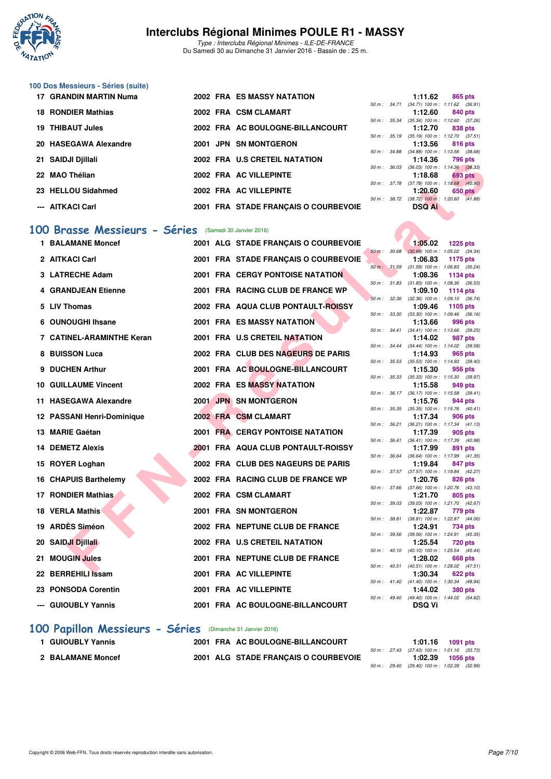

Type : Interclubs Régional Minimes - ILE-DE-FRANCE Du Samedi 30 au Dimanche 31 Janvier 2016 - Bassin de : 25 m.

#### **100 Dos Messieurs - Séries (suite)**

| 17 GRANDIN MARTIN Numa  |  | <b>2002 FRA ES MASSY NATATION</b>    |                  | 1:11.62                                               | 865 pts |         |
|-------------------------|--|--------------------------------------|------------------|-------------------------------------------------------|---------|---------|
| 18 RONDIER Mathias      |  | 2002 FRA CSM CLAMART                 |                  | 50 m: 34.71 (34.71) 100 m: 1:11.62 (36.91)<br>1:12.60 | 840 pts |         |
| <b>19 THIBAUT Jules</b> |  | 2002 FRA AC BOULOGNE-BILLANCOURT     | 50 m: 35.34      | $(35.34)$ 100 m : 1:12.60 $(37.26)$<br>1:12.70        | 838 pts |         |
| 20 HASEGAWA Alexandre   |  | 2001 JPN SN MONTGERON                | $50 m$ : $35.19$ | $(35.19)$ 100 m : 1:12.70 $(37.51)$<br>1:13.56        | 816 pts |         |
| 21 SAIDJI Djillali      |  | 2002 FRA U.S CRETEIL NATATION        | 50 m: 34.88      | $(34.88)$ 100 m : 1:13.56 $(38.68)$<br>1:14.36        | 796 pts |         |
| 22 MAO Thélian          |  | 2002 FRA AC VILLEPINTE               | 50 m: 36.03      | $(36.03)$ 100 m : 1:14.36 $(38.33)$<br>1:18.68        | 693 pts |         |
| 23 HELLOU Sidahmed      |  | 2002 FRA AC VILLEPINTE               | 50 m: 37.78      | $(37.78)$ 100 m : 1:18.68 $(40.90)$<br>1:20.60        |         | 650 pts |
| --- AITKACI Carl        |  | 2001 FRA STADE FRANCAIS O COURBEVOIE | $50 m$ : $38.72$ | $(38.72)$ 100 m : 1:20.60 $(41.88)$<br><b>DSQ Ai</b>  |         |         |

#### **[100 Brasse Messieurs - Séries](http://www.ffnatation.fr/webffn/resultats.php?idact=nat&go=epr&idcpt=36761&idepr=72)** (Samedi 30 Janvier 2016)

| 21 JAIDJI DJIIIAII           |  | ZUVZ FRA UJJURETEILINATATION              |              |                  | 1.14.30                                                 | 790 DIS         |  |
|------------------------------|--|-------------------------------------------|--------------|------------------|---------------------------------------------------------|-----------------|--|
| 22 MAO Thélian               |  | 2002 FRA AC VILLEPINTE                    |              |                  | 50 m: 36.03 (36.03) 100 m: 1:14.36 (38.33)<br>1:18.68   | <b>693 pts</b>  |  |
| 23 HELLOU Sidahmed           |  | 2002 FRA AC VILLEPINTE                    | 50 m : 37.78 |                  | $(37.78)$ 100 m : 1:18.68 $(40.90)$<br>1:20.60          | <b>650 pts</b>  |  |
|                              |  |                                           |              |                  | 50 m : 38.72 (38.72) 100 m : 1:20.60 (41.88)            |                 |  |
| <b>AITKACI Carl</b>          |  | 2001 FRA STADE FRANÇAIS O COURBEVOIE      |              |                  | <b>DSQ Ai</b>                                           |                 |  |
| 00 Brasse Messieurs - Séries |  | (Samedi 30 Janvier 2016)                  |              |                  |                                                         |                 |  |
| <b>1 BALAMANE Moncef</b>     |  | 2001 ALG STADE FRANÇAIS O COURBEVOIE      |              |                  | 1:05.02                                                 | <b>1225 pts</b> |  |
|                              |  |                                           |              | 50 m : 30.68     | $(30.68)$ 100 m : 1:05.02 $(34.34)$                     |                 |  |
| 2 AITKACI Carl               |  | 2001 FRA STADE FRANÇAIS O COURBEVOIE      | 50 m: 31.59  |                  | 1:06.83<br>$(31.59)$ 100 m : 1:06.83 $(35.24)$          | 1175 pts        |  |
| 3 LATRECHE Adam              |  | <b>2001 FRA CERGY PONTOISE NATATION</b>   |              |                  | 1:08.36                                                 | 1134 pts        |  |
| 4 GRANDJEAN Etienne          |  | 2001 FRA RACING CLUB DE FRANCE WP         |              | 50 m: 31.83      | $(31.83)$ 100 m : 1:08.36 $(36.53)$<br>1:09.10          | <b>1114 pts</b> |  |
|                              |  |                                           |              |                  | 50 m : 32.36 (32.36) 100 m : 1:09.10 (36.74)            |                 |  |
| 5 LIV Thomas                 |  | 2002 FRA AQUA CLUB PONTAULT-ROISSY        |              |                  | 1:09.46                                                 | 1105 pts        |  |
| 6 OUNOUGHI Ihsane            |  | <b>2001 FRA ES MASSY NATATION</b>         |              |                  | 50 m : 33.30 (33.30) 100 m : 1:09.46 (36.16)<br>1:13.66 | 996 pts         |  |
|                              |  |                                           |              |                  | 50 m: 34.41 (34.41) 100 m: 1:13.66 (39.25)              |                 |  |
| 7 CATINEL-ARAMINTHE Keran    |  | 2001 FRA U.S CRETEIL NATATION             |              |                  | 1:14.02                                                 | 987 pts         |  |
| 8 BUISSON Luca               |  | 2002 FRA CLUB DES NAGEURS DE PARIS        |              | 50 m : 34.44     | $(34.44)$ 100 m : 1:14.02 $(39.58)$<br>1:14.93          | 965 pts         |  |
|                              |  |                                           | 50 m: 35.53  |                  | $(35.53)$ 100 m : 1:14.93 $(39.40)$                     |                 |  |
| 9 DUCHEN Arthur              |  | 2001 FRA AC BOULOGNE-BILLANCOURT          |              |                  | 1:15.30                                                 | 956 pts         |  |
| <b>10 GUILLAUME Vincent</b>  |  | <b>2002 FRA ES MASSY NATATION</b>         |              |                  | 50 m: 35.33 (35.33) 100 m: 1:15.30 (39.97)<br>1:15.58   | 949 pts         |  |
|                              |  |                                           |              | 50 m : 36.17     | $(36.17)$ 100 m : 1:15.58 $(39.41)$                     |                 |  |
| 11 HASEGAWA Alexandre        |  | 2001 JPN SN MONTGERON                     |              |                  | 1:15.76                                                 | 944 pts         |  |
| 12 PASSANI Henri-Dominique   |  | 2002 FRA CSM CLAMART                      |              |                  | 50 m: 35.35 (35.35) 100 m: 1:15.76 (40.41)<br>1:17.34   | 906 pts         |  |
|                              |  |                                           |              | 50 m: 36.21      | $(36.21)$ 100 m : 1:17.34 $(41.13)$                     |                 |  |
| 13 MARIE Gaétan              |  | 2001 FRA CERGY PONTOISE NATATION          |              |                  | 1:17.39                                                 | 905 pts         |  |
| 14 DEMETZ Alexis             |  | <b>2001 FRA AQUA CLUB PONTAULT-ROISSY</b> |              |                  | 50 m: 36.41 (36.41) 100 m: 1:17.39 (40.98)<br>1:17.99   | 891 pts         |  |
|                              |  |                                           | 50 m : 36.64 |                  | $(36.64)$ 100 m : 1:17.99 $(41.35)$                     |                 |  |
| 15 ROYER Loghan              |  | 2002 FRA CLUB DES NAGEURS DE PARIS        |              |                  | 1:19.84                                                 | 847 pts         |  |
| 16 CHAPUIS Barthelemy        |  | 2002 FRA RACING CLUB DE FRANCE WP         |              |                  | 50 m: 37.57 (37.57) 100 m: 1:19.84 (42.27)<br>1:20.76   | 826 pts         |  |
|                              |  |                                           |              |                  | 50 m: 37.66 (37.66) 100 m: 1:20.76 (43.10)              |                 |  |
| 17 RONDIER Mathias           |  | 2002 FRA CSM CLAMART                      |              |                  | 1:21.70                                                 | 805 pts         |  |
| 18 VERLA Mathis              |  | 2001 FRA SN MONTGERON                     | 50 m : 39.03 |                  | (39.03) 100 m: 1:21.70 (42.67)<br>1:22.87               | 779 pts         |  |
|                              |  |                                           |              | 50 m : 38.81     | $(38.81)$ 100 m : 1:22.87 $(44.06)$                     |                 |  |
| 19 ARDÈS Siméon              |  | 2002 FRA NEPTUNE CLUB DE FRANCE           |              |                  | 1:24.91                                                 | 734 pts         |  |
| 20 SAIDJI Djillali           |  | 2002 FRA U.S CRETEIL NATATION             |              |                  | 50 m: 39.56 (39.56) 100 m: 1:24.91 (45.35)<br>1:25.54   | <b>720 pts</b>  |  |
|                              |  |                                           |              |                  | 50 m: 40.10 (40.10) 100 m: 1:25.54 (45.44)              |                 |  |
| 21 MOUGIN Jules              |  | 2001 FRA NEPTUNE CLUB DE FRANCE           |              | $50 m$ : $40.51$ | 1:28.02                                                 | <b>668 pts</b>  |  |
| 22 BERREHILI Issam           |  | 2001 FRA AC VILLEPINTE                    |              |                  | $(40.51)$ 100 m : 1:28.02 $(47.51)$<br>1:30.34          | 622 pts         |  |
|                              |  |                                           |              |                  | 50 m: 41.40 (41.40) 100 m: 1:30.34 (48.94)              |                 |  |
| 23 PONSODA Corentin          |  | 2001 FRA AC VILLEPINTE                    |              |                  | 1:44.02<br>50 m : 49.40 (49.40) 100 m : 1:44.02 (54.62) | <b>380 pts</b>  |  |
| --- GUIOUBLY Yannis          |  | 2001 FRA AC BOULOGNE-BILLANCOURT          |              |                  | <b>DSQ Vi</b>                                           |                 |  |
|                              |  |                                           |              |                  |                                                         |                 |  |

### **[100 Papillon Messieurs - Séries](http://www.ffnatation.fr/webffn/resultats.php?idact=nat&go=epr&idcpt=36761&idepr=82)** (Dimanche 31 Janvier 2016)

| <b>GUIOUBLY Yannis</b> |  | 2001 FRA AC BOULOGNE-BILLANCOURT     |  | $1:01.16$ 1091 pts                           |  |
|------------------------|--|--------------------------------------|--|----------------------------------------------|--|
|                        |  |                                      |  | 50 m: 27.43 (27.43) 100 m: 1:01.16 (33.73)   |  |
| 2 BALAMANE Moncef      |  | 2001 ALG STADE FRANÇAIS O COURBEVOIE |  | $1:02.39$ 1056 pts                           |  |
|                        |  |                                      |  | 50 m : 29.40 (29.40) 100 m : 1:02.39 (32.99) |  |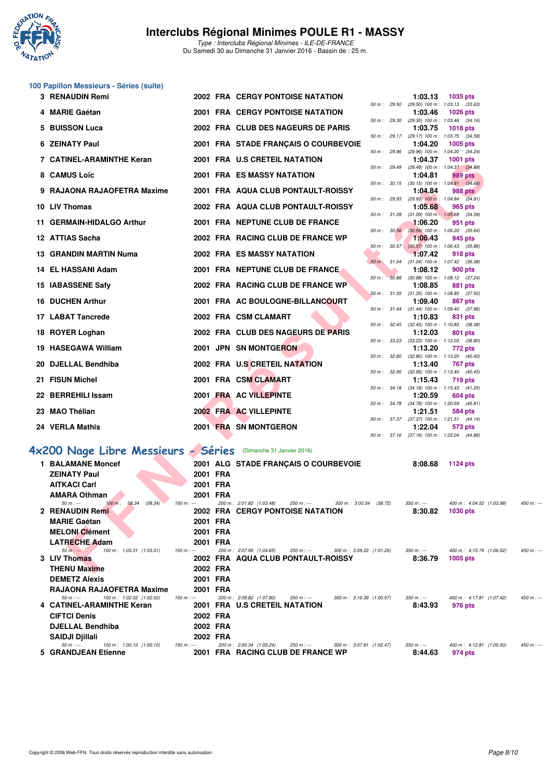

Type : Interclubs Régional Minimes - ILE-DE-FRANCE Du Samedi 30 au Dimanche 31 Janvier 2016 - Bassin de : 25 m.

# **100 Papillon Messieurs - Séries (suite)**

|     | 3 RENAUDIN Remi                                                           |          | <b>2002 FRA CERGY PONTOISE NATATION</b>                                                                   |              |       | 1:03.13                | 1035 pts                                                       |             |
|-----|---------------------------------------------------------------------------|----------|-----------------------------------------------------------------------------------------------------------|--------------|-------|------------------------|----------------------------------------------------------------|-------------|
|     | 4 MARIE Gaétan                                                            |          | <b>2001 FRA CERGY PONTOISE NATATION</b>                                                                   | 50 m : 29.50 |       | 1:03.46                | $(29.50)$ 100 m : 1:03.13 $(33.63)$<br>1026 pts                |             |
| 5   | <b>BUISSON Luca</b>                                                       |          | 2002 FRA CLUB DES NAGEURS DE PARIS                                                                        | 50 m : 29.30 |       | 1:03.75                | (29.30) 100 m: 1:03.46 (34.16)<br><b>1018 pts</b>              |             |
|     | <b>6 ZEINATY Paul</b>                                                     |          |                                                                                                           | 50 m: 29.17  |       |                        | (29.17) 100 m: 1:03.75 (34.58)                                 |             |
|     |                                                                           |          | 2001 FRA STADE FRANÇAIS O COURBEVOIE                                                                      |              |       | 1:04.20                | 1005 pts<br>50 m: 29.96 (29.96) 100 m: 1:04.20 (34.24)         |             |
|     | 7 CATINEL-ARAMINTHE Keran                                                 |          | 2001 FRA U.S CRETEIL NATATION                                                                             | 50 m : 29.49 |       | 1:04.37                | <b>1001 pts</b><br>(29.49) 100 m: 1:04.37 (34.88)              |             |
|     | 8 CAMUS Loïc                                                              |          | <b>2001 FRA ES MASSY NATATION</b>                                                                         |              |       | 1:04.81                | 989 pts                                                        |             |
|     | 9 RAJAONA RAJAOFETRA Maxime                                               |          | 2001 FRA AQUA CLUB PONTAULT-ROISSY                                                                        |              |       | 1:04.84                | 50 m : 30.15 (30.15) 100 m : 1:04.81 (34.66)<br><b>988 pts</b> |             |
|     | 10 LIV Thomas                                                             |          | 2002 FRA AQUA CLUB PONTAULT-ROISSY                                                                        | 50 m : 29.93 |       | 1:05.68                | $(29.93)$ 100 m : 1:04.84 $(34.91)$<br>965 pts                 |             |
|     | 11 GERMAIN-HIDALGO Arthur                                                 |          | 2001 FRA NEPTUNE CLUB DE FRANCE                                                                           |              |       | 1:06.20                | 50 m: 31.09 (31.09) 100 m: 1:05.68 (34.59)<br>951 pts          |             |
|     |                                                                           |          |                                                                                                           | 50 m: 30.56  |       |                        | $(30.56)$ 100 m : 1:06.20 $(35.64)$                            |             |
|     | 12 ATTIAS Sacha                                                           |          | 2002 FRA RACING CLUB DE FRANCE WP                                                                         | 50 m: 30.57  |       | 1:06.43                | 945 pts<br>$(30.57)$ 100 m : 1:06.43 $(35.86)$                 |             |
|     | 13 GRANDIN MARTIN Numa                                                    |          | <b>2002 FRA ES MASSY NATATION</b>                                                                         |              |       | 1:07.42                | 918 pts                                                        |             |
|     | 14 EL HASSANI Adam                                                        |          | 2001 FRA NEPTUNE CLUB DE FRANCE                                                                           | 50 m: 31.04  |       | 1:08.12                | $(31.04)$ 100 m : 1:07.42 $(36.38)$<br><b>900 pts</b>          |             |
|     |                                                                           |          |                                                                                                           | $50 m$ :     | 30.88 |                        | $(30.88)$ 100 m : 1:08.12 $(37.24)$                            |             |
|     | 15 IABASSENE Safy                                                         |          | 2002 FRA RACING CLUB DE FRANCE WP                                                                         |              |       | 1:08.85                | 881 pts<br>50 m: 31.35 (31.35) 100 m: 1:08.85 (37.50)          |             |
|     | 16 DUCHEN Arthur                                                          |          | 2001 FRA AC BOULOGNE-BILLANCOURT                                                                          |              |       | 1:09.40                | 867 pts                                                        |             |
|     | 17 LABAT Tancrede                                                         |          | 2002 FRA CSM CLAMART                                                                                      | 50 m: 31.44  |       | 1:10.83                | $(31.44)$ 100 m : 1:09.40 $(37.96)$<br>831 pts                 |             |
|     | 18 ROYER Loghan                                                           |          | 2002 FRA CLUB DES NAGEURS DE PARIS                                                                        |              |       | 1:12.03                | 50 m: 32.45 (32.45) 100 m: 1:10.83 (38.38)<br>801 pts          |             |
|     |                                                                           |          |                                                                                                           | 50 m : 33.23 |       |                        | $(33.23)$ 100 m : 1:12.03 $(38.80)$                            |             |
|     | 19 HASEGAWA William                                                       |          | 2001 JPN SN MONTGERON                                                                                     | 50 m : 32.80 |       | 1:13.20                | 772 pts<br>$(32.80)$ 100 m : 1:13.20 $(40.40)$                 |             |
|     | 20 DJELLAL Bendhiba                                                       |          | 2002 FRA U.S CRETEIL NATATION                                                                             |              |       | 1:13.40                | <b>767 pts</b>                                                 |             |
| 21. | <b>FISUN Michel</b>                                                       |          | 2001 FRA CSM CLAMART                                                                                      |              |       | 1:15.43                | 50 m: 32.95 (32.95) 100 m: 1:13.40 (40.45)<br>719 pts          |             |
|     |                                                                           |          |                                                                                                           |              |       |                        | 50 m: 34.18 (34.18) 100 m: 1:15.43 (41.25)                     |             |
|     | 22 BERREHILI Issam                                                        |          | 2001 FRA AC VILLEPINTE                                                                                    |              |       | 1:20.59                | 604 pts                                                        |             |
|     | 23 MAO Thélian                                                            |          | 2002 FRA AC VILLEPINTE                                                                                    |              |       | 1:21.51                | 50 m: 34.78 (34.78) 100 m: 1:20.59 (45.81)<br>584 pts          |             |
|     |                                                                           |          |                                                                                                           |              |       |                        | 50 m: 37.37 (37.37) 100 m: 1:21.51 (44.14)                     |             |
|     | 24 VERLA Mathis                                                           |          | 2001 FRA SN MONTGERON                                                                                     |              |       | 1:22.04                | 573 pts<br>50 m: 37.16 (37.16) 100 m: 1:22.04 (44.88)          |             |
|     |                                                                           |          |                                                                                                           |              |       |                        |                                                                |             |
|     | 4x200 Nage Libre Messieurs - Séries                                       |          | (Dimanche 31 Janvier 2016)                                                                                |              |       |                        |                                                                |             |
|     | <b>1 BALAMANE Moncef</b>                                                  |          | 2001 ALG STADE FRANÇAIS O COURBEVOIE                                                                      |              |       | 8:08.68                | 1124 pts                                                       |             |
|     | <b>ZEINATY Paul</b>                                                       | 2001 FRA |                                                                                                           |              |       |                        |                                                                |             |
|     | <b>AITKACI Carl</b>                                                       | 2001 FRA |                                                                                                           |              |       |                        |                                                                |             |
|     | <b>AMARA Othman</b><br>100 m: 58.34<br>$50 m: -$<br>(58.34)<br>$150 m: -$ | 2001 FRA | 200 m: 2:01.82 (1:03.48)<br>$250 m$ : ---<br>300 m: 3:00.54 (58.72)                                       |              |       | $350 m : -$            | 400 m: 4:04.52 (1:03.98)                                       | $450 m: -$  |
|     | 2 RENAUDIN Remi                                                           |          | <b>2002 FRA CERGY PONTOISE NATATION</b>                                                                   |              |       | 8:30.82                | <b>1030 pts</b>                                                |             |
|     | <b>MARIE Gaétan</b>                                                       | 2001 FRA |                                                                                                           |              |       |                        |                                                                |             |
|     | <b>MELONI Clément</b>                                                     | 2001 FRA |                                                                                                           |              |       |                        |                                                                |             |
|     | <b>LATRECHE Adam</b>                                                      | 2001 FRA |                                                                                                           |              |       |                        |                                                                |             |
|     | 100 m: 1:03.31 (1:03.31)<br>$50 m: -$<br>$150 m: -$<br>3 LIV Thomas       |          | 200 m: 2:07.96 (1:04.65)<br>$250 m : -$<br>300 m: 3:09.22 (1:01.26)<br>2002 FRA AQUA CLUB PONTAULT-ROISSY |              |       | $350 m : -$<br>8:36.79 | 400 m: 4:15.74 (1:06.52)<br>1005 pts                           | 450 m : --- |
|     | <b>THENU Maxime</b>                                                       | 2002 FRA |                                                                                                           |              |       |                        |                                                                |             |
|     |                                                                           |          |                                                                                                           |              |       |                        |                                                                |             |

| <b>MELONI Clément</b>                   |             | 2001 FRA |                                     |             |                           |             |                           |               |
|-----------------------------------------|-------------|----------|-------------------------------------|-------------|---------------------------|-------------|---------------------------|---------------|
| <b>LATRECHE Adam</b>                    |             | 2001 FRA |                                     |             |                           |             |                           |               |
| 100 m: 1:03.31 (1:03.31)<br>$50 m: -$   | $150 m: -$  |          | 200 m: 2:07.96 (1:04.65)            | 250 m : --- | 300 m : 3:09.22 (1:01.26) | $350 m : -$ | 400 m : 4:15.74 (1:06.52) | $450 m : -$   |
| 3 LIV Thomas                            |             |          | 2002 FRA AQUA CLUB PONTAULT-ROISSY  |             |                           | 8:36.79     | $1005$ pts                |               |
| <b>THENU Maxime</b>                     |             | 2002 FRA |                                     |             |                           |             |                           |               |
| <b>DEMETZ Alexis</b>                    |             | 2001 FRA |                                     |             |                           |             |                           |               |
| <b>RAJAONA RAJAOFETRA Maxime</b>        |             | 2001 FRA |                                     |             |                           |             |                           |               |
| 100 m: 1:02.02 (1:02.02)<br>$50 m : -$  | $150 m : -$ |          | 200 m: 2:09.82 (1:07.80)            | 250 m : --- | 300 m : 3:10.39 (1:00.57) | $350 m : -$ | 400 m: 4:17.81 (1:07.42)  | $450 m$ : --- |
| 4 CATINEL-ARAMINTHE Keran               |             |          | 2001 FRA U.S CRETEIL NATATION       |             |                           | 8:43.93     | 976 pts                   |               |
| <b>CIFTCI Denis</b>                     |             | 2002 FRA |                                     |             |                           |             |                           |               |
| <b>DJELLAL Bendhiba</b>                 |             | 2002 FRA |                                     |             |                           |             |                           |               |
| <b>SAIDJI Djillali</b>                  |             | 2002 FRA |                                     |             |                           |             |                           |               |
| 100 m : 1:00.10 (1:00.10)<br>$50 m : -$ | $150 m: -$  |          | 200 m: 2:05.34 (1:05.24)            | 250 m : --- | 300 m : 3:07.81 (1:02.47) | 350 m : --- | 400 m: 4:12.81 (1:05.00)  | $450 m : -$   |
| 5 GRANDJEAN Etienne                     |             | 2001     | <b>FRA RACING CLUB DE FRANCE WP</b> |             |                           | 8:44.63     | 974 pts                   |               |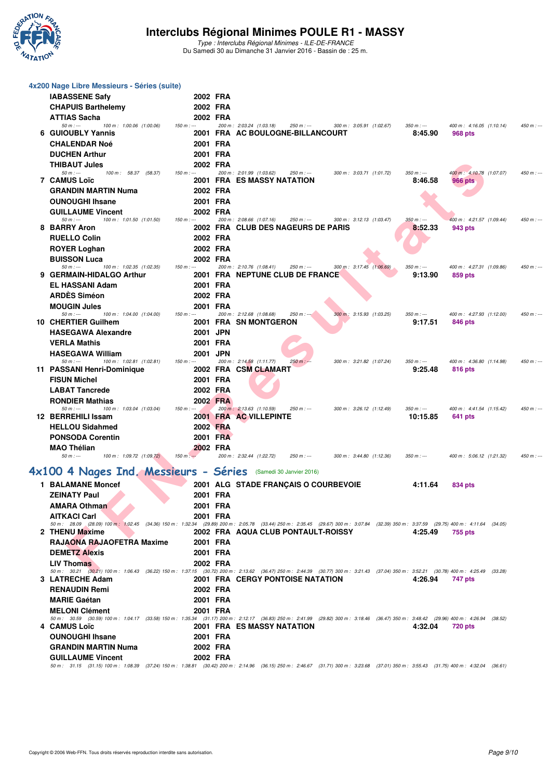

Type : Interclubs Régional Minimes - ILE-DE-FRANCE Du Samedi 30 au Dimanche 31 Janvier 2016 - Bassin de : 25 m.

| 4x200 Nage Libre Messieurs - Séries (suite)                         |                        |                                                                                                                                                                                                                                                  |               |
|---------------------------------------------------------------------|------------------------|--------------------------------------------------------------------------------------------------------------------------------------------------------------------------------------------------------------------------------------------------|---------------|
| <b>IABASSENE Safy</b>                                               | 2002 FRA               |                                                                                                                                                                                                                                                  |               |
| <b>CHAPUIS Barthelemy</b>                                           | 2002 FRA               |                                                                                                                                                                                                                                                  |               |
| <b>ATTIAS Sacha</b>                                                 | 2002 FRA               |                                                                                                                                                                                                                                                  |               |
| 100 m: 1:00.06 (1:00.06)<br>$50 m: -$<br>6 GUIOUBLY Yannis          | $150 m: -$             | 200 m: 2:03.24 (1:03.18)<br>250 m : ---<br>300 m: 3:05.91 (1:02.67)<br>$350 m : -$<br>400 m: 4:16.05 (1:10.14)<br>2001 FRA AC BOULOGNE-BILLANCOURT<br>8:45.90<br>968 pts                                                                         | $450 m: -$    |
| <b>CHALENDAR Noé</b>                                                | 2001 FRA               |                                                                                                                                                                                                                                                  |               |
| <b>DUCHEN Arthur</b>                                                | 2001 FRA               |                                                                                                                                                                                                                                                  |               |
| <b>THIBAUT Jules</b>                                                | 2002 FRA               |                                                                                                                                                                                                                                                  |               |
| 50 m : ---<br>100 m: 58.37 (58.37)                                  | $150 m: -$             | 200 m: 2:01.99 (1:03.62)<br>$250 m: -$<br>300 m: 3:03.71 (1:01.72)<br>$350 m : -$<br>400 m: 4:10.78 (1:07.07)                                                                                                                                    | 450 m : ---   |
| <b>7 CAMUS Loïc</b>                                                 |                        | <b>2001 FRA ES MASSY NATATION</b><br>8:46.58<br><b>966 pts</b>                                                                                                                                                                                   |               |
| GRANDIN MARTIN Numa<br><b>OUNOUGHI Ihsane</b>                       | 2002 FRA<br>2001 FRA   |                                                                                                                                                                                                                                                  |               |
| <b>GUILLAUME Vincent</b>                                            | 2002 FRA               |                                                                                                                                                                                                                                                  |               |
| $50 m: -$<br>100 m: 1:01.50 (1:01.50)                               | $150 m: -$             | 200 m: 2:08.66 (1:07.16)<br>$250 m: -$<br>300 m: 3:12.13 (1:03.47)<br>$350 m : -$<br>400 m: 4:21.57 (1:09.44)                                                                                                                                    | $450 m: -$    |
| 8 BARRY Aron                                                        |                        | 2002 FRA CLUB DES NAGEURS DE PARIS<br>8:52.33<br>943 pts                                                                                                                                                                                         |               |
| <b>RUELLO Colin</b>                                                 | 2002 FRA               |                                                                                                                                                                                                                                                  |               |
| <b>ROYER Loghan</b>                                                 | 2002 FRA               |                                                                                                                                                                                                                                                  |               |
| <b>BUISSON Luca</b><br>$50 m : -$<br>100 m: 1:02.35 (1:02.35)       | 2002 FRA<br>$150 m: -$ | 300 m: 3:17.45 (1:06.69)<br>200 m: 2:10.76 (1:08.41)<br>250 m : ---<br>$350 m: -$<br>400 m: 4:27.31 (1:09.86)                                                                                                                                    | 450 m : ---   |
| 9 GERMAIN-HIDALGO Arthur                                            |                        | <b>2001 FRA NEPTUNE CLUB DE FRANCE</b><br>9:13.90<br>859 pts                                                                                                                                                                                     |               |
| <b>EL HASSANI Adam</b>                                              | 2001 FRA               |                                                                                                                                                                                                                                                  |               |
| <b>ARDES Siméon</b>                                                 | 2002 FRA               |                                                                                                                                                                                                                                                  |               |
| <b>MOUGIN Jules</b><br>$50 m: -$<br>100 m: 1:04.00 (1:04.00)        | 2001 FRA<br>$150 m: -$ | 200 m: 2:12.68 (1:08.68)<br>$250 m : -20$<br>300 m: 3:15.93 (1:03.25)<br>$350 m: -$<br>400 m: 4:27.93 (1:12.00)                                                                                                                                  | $450 m$ : --- |
| 10 CHERTIER Guilhem                                                 |                        | 2001 FRA SN MONTGERON<br>9:17.51<br>846 pts                                                                                                                                                                                                      |               |
| <b>HASEGAWA Alexandre</b>                                           | 2001 JPN               |                                                                                                                                                                                                                                                  |               |
| <b>VERLA Mathis</b>                                                 | 2001 FRA               |                                                                                                                                                                                                                                                  |               |
| <b>HASEGAWA William</b>                                             | 2001 JPN               |                                                                                                                                                                                                                                                  |               |
| 100 m: 1:02.81 (1:02.81)<br>$50 m: -$<br>11 PASSANI Henri-Dominique | $150 m: -$             | 200 m: 2:14.58 (1:11.77)<br>$250 m : -$<br>300 m: 3:21.82 (1:07.24)<br>$350 m: -$<br>400 m: 4:36.80 (1:14.98)<br>2002 FRA CSM CLAMART<br>9:25.48<br>816 pts                                                                                      | 450 m : ---   |
| <b>FISUN Michel</b>                                                 | 2001 FRA               |                                                                                                                                                                                                                                                  |               |
| <b>LABAT Tancrede</b>                                               | 2002 FRA               |                                                                                                                                                                                                                                                  |               |
| <b>RONDIER Mathias</b>                                              | 2002 FRA               |                                                                                                                                                                                                                                                  |               |
| $50 m: -$<br>100 m: 1:03.04 (1:03.04)<br>12 BERREHILI Issam         | $150 m: -$             | 200 m: 2:13.63 (1:10.59)<br>$250 m: -$<br>300 m: 3:26.12 (1:12.49)<br>$350 m: -$<br>400 m: 4:41.54 (1:15.42)<br>2001 FRA AC VILLEPINTE<br>10:15.85<br>641 pts                                                                                    | $450 m: -$    |
| <b>HELLOU Sidahmed</b>                                              | 2002 FRA               |                                                                                                                                                                                                                                                  |               |
| <b>PONSODA Corentin</b>                                             | 2001 FRA               |                                                                                                                                                                                                                                                  |               |
| <b>MAO Thélian</b>                                                  | 2002 FRA               |                                                                                                                                                                                                                                                  |               |
| $50 m: -$<br>100 m: 1:09.72 (1:09.72)                               | $150 m: -$             | 200 m: 2:32.44 (1:22.72)<br>$250 m : -$<br>300 m: 3:44.80 (1:12.36)<br>$350 m: -$<br>400 m: 5:06.12 (1:21.32)                                                                                                                                    | 450 m : ---   |
| 4x100 4 Nages Ind. Messieurs - Séries (Samedi 30 Janvier 2016)      |                        |                                                                                                                                                                                                                                                  |               |
| 1 BALAMANE Moncef                                                   |                        | 2001 ALG STADE FRANÇAIS O COURBEVOIE<br>4:11.64<br>834 pts                                                                                                                                                                                       |               |
| <b>ZEINATY Paul</b>                                                 | 2001 FRA               |                                                                                                                                                                                                                                                  |               |
| <b>AMARA Othman</b>                                                 | 2001 FRA               |                                                                                                                                                                                                                                                  |               |
| <b>AITKACI Carl</b>                                                 | 2001 FRA               |                                                                                                                                                                                                                                                  |               |
| 2 THENU Maxime                                                      |                        | 50 m: 28.09 (28.09) 100 m: 1:02.45 (34.36) 150 m: 1:32.34 (29.89) 200 m: 2:05.78 (33.44) 250 m: 2:35.45 (29.67) 300 m: 3:07.84 (32.39) 350 m: 3:37.59 (29.75) 400 m: 4:11.64 (34.05)<br>2002 FRA AQUA CLUB PONTAULT-ROISSY<br>4:25.49<br>755 pts |               |
| RAJAONA RAJAOFETRA Maxime                                           | 2001 FRA               |                                                                                                                                                                                                                                                  |               |
| <b>DEMETZ Alexis</b>                                                | 2001 FRA               |                                                                                                                                                                                                                                                  |               |
| <b>LIV Thomas</b>                                                   | 2002 FRA               |                                                                                                                                                                                                                                                  |               |
|                                                                     |                        | 50 m: 30.21 (30.21) 100 m: 1:06.43 (36.22) 150 m: 1:37.15 (30.72) 200 m: 2:13.62 (36.47) 250 m: 2:44.39 (30.77) 300 m: 3:21.43 (37.04) 350 m: 3:52.21 (30.78) 400 m: 4:25.49 (33.28)<br><b>2001 FRA CERGY PONTOISE NATATION</b><br>4:26.94       |               |
| 3 LATRECHE Adam<br><b>RENAUDIN Remi</b>                             | 2002 FRA               | 747 pts                                                                                                                                                                                                                                          |               |
| <b>MARIE Gaétan</b>                                                 | 2001 FRA               |                                                                                                                                                                                                                                                  |               |
| <b>MELONI Clément</b>                                               | 2001 FRA               |                                                                                                                                                                                                                                                  |               |
|                                                                     |                        | 50 m: 30.59 (30.59) 100 m: 1:04.17 (33.58) 150 m: 1:35.34 (31.17) 200 m: 2:12.17 (36.83) 250 m: 2:41.99 (29.82) 300 m: 3:18.46 (36.47) 350 m: 3:48.42 (29.96) 400 m: 4:26.94 (38.52)                                                             |               |
| 4 CAMUS Loïc                                                        |                        | <b>2001 FRA ES MASSY NATATION</b><br>4:32.04<br><b>720 pts</b>                                                                                                                                                                                   |               |
| <b>OUNOUGHI Ihsane</b><br><b>GRANDIN MARTIN Numa</b>                | 2001 FRA<br>2002 FRA   |                                                                                                                                                                                                                                                  |               |
| <b>GUILLAUME Vincent</b>                                            | 2002 FRA               |                                                                                                                                                                                                                                                  |               |
|                                                                     |                        | 50 m: 31.15 (31.15) 100 m: 1:08.39 (37.24) 150 m: 1:38.81 (30.42) 200 m: 2:14.96 (36.15) 250 m: 2:46.67 (31.71) 300 m: 3:23.68 (37.01) 350 m: 3:55.43 (31.75) 400 m: 4:32.04 (36.61)                                                             |               |
|                                                                     |                        |                                                                                                                                                                                                                                                  |               |